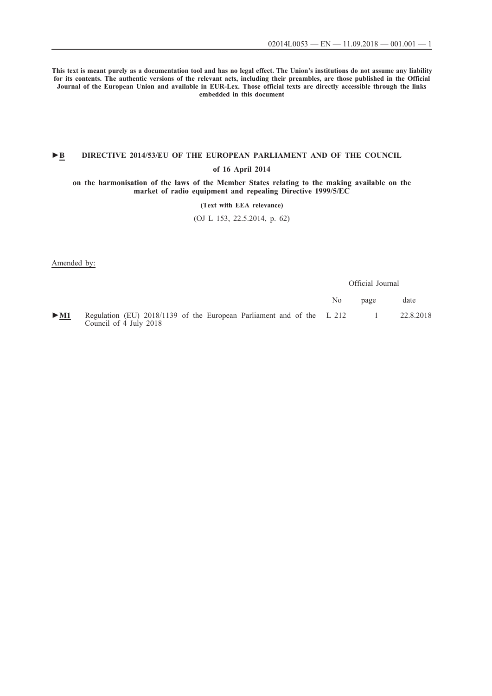**This text is meant purely as a documentation tool and has no legal effect. The Union's institutions do not assume any liability for its contents. The authentic versions of the relevant acts, including their preambles, are those published in the Official Journal of the European Union and available in EUR-Lex. Those official texts are directly accessible through the links embedded in this document**

## **►B [DIRECTIVE 2014/53/EU OF THE EUROPEAN PARLIAMENT AND OF THE COUNCIL](http://data.europa.eu/eli/dir/2014/53/oj/eng)**

### **[of 16 April 2014](http://data.europa.eu/eli/dir/2014/53/oj/eng)**

**[on the harmonisation of the laws of the Member States relating to the making available on the](http://data.europa.eu/eli/dir/2014/53/oj/eng) [market of radio equipment and repealing Directive 1999/5/EC](http://data.europa.eu/eli/dir/2014/53/oj/eng)**

## **[\(Text with EEA relevance\)](http://data.europa.eu/eli/dir/2014/53/oj/eng)**

[\(OJ L 153, 22.5.2014, p. 62\)](http://data.europa.eu/eli/dir/2014/53/oj/eng)

Amended by:

Official Journal No page date [►](http://data.europa.eu/eli/reg/2018/1139/oj/eng)**[M1](http://data.europa.eu/eli/reg/2018/1139/oj/eng)** [Regulation \(EU\) 2018/1139 of the European Parliament and of the](http://data.europa.eu/eli/reg/2018/1139/oj/eng) [Council of 4 July 2018](http://data.europa.eu/eli/reg/2018/1139/oj/eng) [L 212 1 22.8.2018](http://data.europa.eu/eli/reg/2018/1139/oj/eng)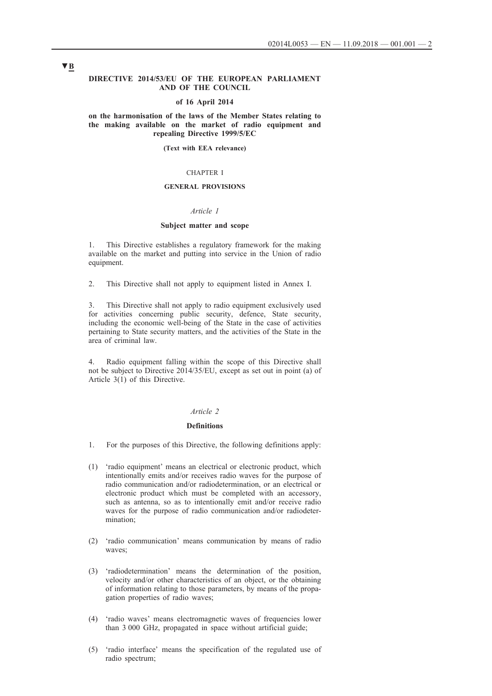#### **DIRECTIVE 2014/53/EU OF THE EUROPEAN PARLIAMENT AND OF THE COUNCIL**

#### **of 16 April 2014**

**on the harmonisation of the laws of the Member States relating to the making available on the market of radio equipment and repealing Directive 1999/5/EC**

**(Text with EEA relevance)**

#### CHAPTER I

## **GENERAL PROVISIONS**

### *Article 1*

### **Subject matter and scope**

1. This Directive establishes a regulatory framework for the making available on the market and putting into service in the Union of radio equipment.

2. This Directive shall not apply to equipment listed in Annex I.

3. This Directive shall not apply to radio equipment exclusively used for activities concerning public security, defence, State security, including the economic well-being of the State in the case of activities pertaining to State security matters, and the activities of the State in the area of criminal law.

4. Radio equipment falling within the scope of this Directive shall not be subject to Directive 2014/35/EU, except as set out in point (a) of Article 3(1) of this Directive.

## *Article 2*

#### **Definitions**

- 1. For the purposes of this Directive, the following definitions apply:
- (1) 'radio equipment' means an electrical or electronic product, which intentionally emits and/or receives radio waves for the purpose of radio communication and/or radiodetermination, or an electrical or electronic product which must be completed with an accessory, such as antenna, so as to intentionally emit and/or receive radio waves for the purpose of radio communication and/or radiodetermination;
- (2) 'radio communication' means communication by means of radio waves;
- (3) 'radiodetermination' means the determination of the position, velocity and/or other characteristics of an object, or the obtaining of information relating to those parameters, by means of the propagation properties of radio waves;
- (4) 'radio waves' means electromagnetic waves of frequencies lower than 3 000 GHz, propagated in space without artificial guide;
- (5) 'radio interface' means the specification of the regulated use of radio spectrum;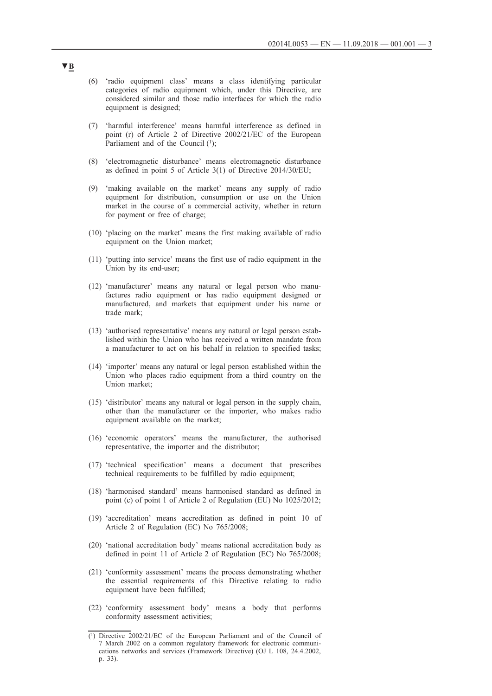- (6) 'radio equipment class' means a class identifying particular categories of radio equipment which, under this Directive, are considered similar and those radio interfaces for which the radio equipment is designed;
- (7) 'harmful interference' means harmful interference as defined in point (r) of Article 2 of Directive 2002/21/EC of the European Parliament and of the Council  $(1)$ :
- (8) 'electromagnetic disturbance' means electromagnetic disturbance as defined in point 5 of Article 3(1) of Directive 2014/30/EU;
- (9) 'making available on the market' means any supply of radio equipment for distribution, consumption or use on the Union market in the course of a commercial activity, whether in return for payment or free of charge;
- (10) 'placing on the market' means the first making available of radio equipment on the Union market;
- (11) 'putting into service' means the first use of radio equipment in the Union by its end-user;
- (12) 'manufacturer' means any natural or legal person who manufactures radio equipment or has radio equipment designed or manufactured, and markets that equipment under his name or trade mark;
- (13) 'authorised representative' means any natural or legal person established within the Union who has received a written mandate from a manufacturer to act on his behalf in relation to specified tasks;
- (14) 'importer' means any natural or legal person established within the Union who places radio equipment from a third country on the Union market;
- (15) 'distributor' means any natural or legal person in the supply chain, other than the manufacturer or the importer, who makes radio equipment available on the market;
- (16) 'economic operators' means the manufacturer, the authorised representative, the importer and the distributor;
- (17) 'technical specification' means a document that prescribes technical requirements to be fulfilled by radio equipment;
- (18) 'harmonised standard' means harmonised standard as defined in point (c) of point 1 of Article 2 of Regulation (EU) No 1025/2012;
- (19) 'accreditation' means accreditation as defined in point 10 of Article 2 of Regulation (EC) No 765/2008;
- (20) 'national accreditation body' means national accreditation body as defined in point 11 of Article 2 of Regulation (EC) No 765/2008;
- (21) 'conformity assessment' means the process demonstrating whether the essential requirements of this Directive relating to radio equipment have been fulfilled;
- (22) 'conformity assessment body' means a body that performs conformity assessment activities;

<sup>(1)</sup> Directive 2002/21/EC of the European Parliament and of the Council of 7 March 2002 on a common regulatory framework for electronic communications networks and services (Framework Directive) (OJ L 108, 24.4.2002, p. 33).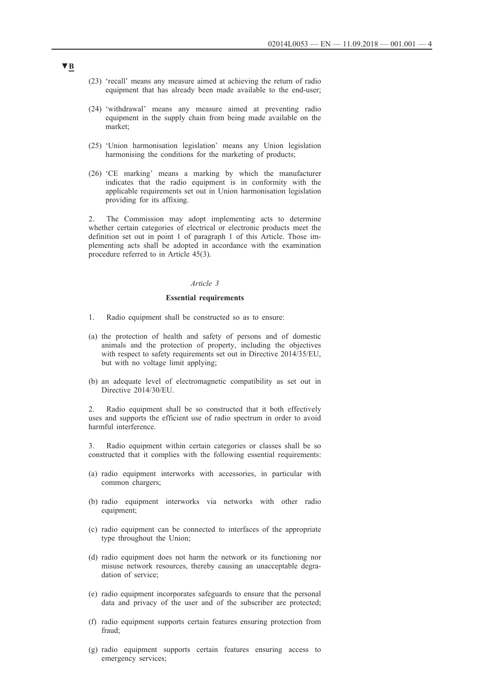- (23) 'recall' means any measure aimed at achieving the return of radio equipment that has already been made available to the end-user;
- (24) 'withdrawal' means any measure aimed at preventing radio equipment in the supply chain from being made available on the market;
- (25) 'Union harmonisation legislation' means any Union legislation harmonising the conditions for the marketing of products;
- (26) 'CE marking' means a marking by which the manufacturer indicates that the radio equipment is in conformity with the applicable requirements set out in Union harmonisation legislation providing for its affixing.

2. The Commission may adopt implementing acts to determine whether certain categories of electrical or electronic products meet the definition set out in point 1 of paragraph 1 of this Article. Those implementing acts shall be adopted in accordance with the examination procedure referred to in Article 45(3).

### *Article 3*

#### **Essential requirements**

- 1. Radio equipment shall be constructed so as to ensure:
- (a) the protection of health and safety of persons and of domestic animals and the protection of property, including the objectives with respect to safety requirements set out in Directive 2014/35/EU, but with no voltage limit applying;
- (b) an adequate level of electromagnetic compatibility as set out in Directive 2014/30/EU.

2. Radio equipment shall be so constructed that it both effectively uses and supports the efficient use of radio spectrum in order to avoid harmful interference.

3. Radio equipment within certain categories or classes shall be so constructed that it complies with the following essential requirements:

- (a) radio equipment interworks with accessories, in particular with common chargers;
- (b) radio equipment interworks via networks with other radio equipment;
- (c) radio equipment can be connected to interfaces of the appropriate type throughout the Union;
- (d) radio equipment does not harm the network or its functioning nor misuse network resources, thereby causing an unacceptable degradation of service;
- (e) radio equipment incorporates safeguards to ensure that the personal data and privacy of the user and of the subscriber are protected;
- (f) radio equipment supports certain features ensuring protection from fraud;
- (g) radio equipment supports certain features ensuring access to emergency services;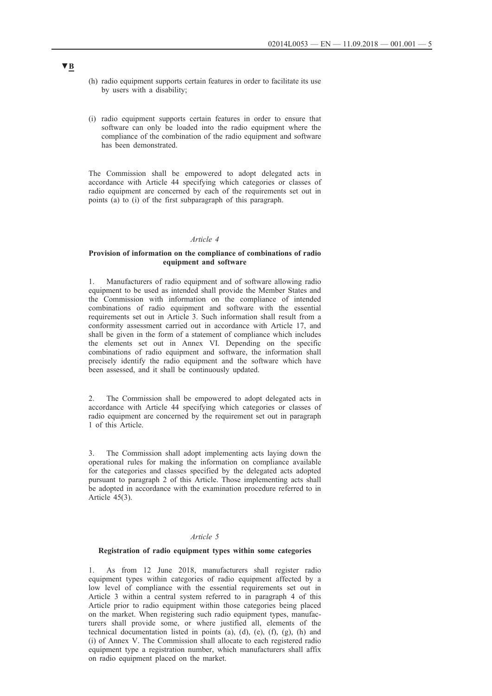- (h) radio equipment supports certain features in order to facilitate its use by users with a disability;
- (i) radio equipment supports certain features in order to ensure that software can only be loaded into the radio equipment where the compliance of the combination of the radio equipment and software has been demonstrated.

The Commission shall be empowered to adopt delegated acts in accordance with Article 44 specifying which categories or classes of radio equipment are concerned by each of the requirements set out in points (a) to (i) of the first subparagraph of this paragraph.

### *Article 4*

### **Provision of information on the compliance of combinations of radio equipment and software**

1. Manufacturers of radio equipment and of software allowing radio equipment to be used as intended shall provide the Member States and the Commission with information on the compliance of intended combinations of radio equipment and software with the essential requirements set out in Article 3. Such information shall result from a conformity assessment carried out in accordance with Article 17, and shall be given in the form of a statement of compliance which includes the elements set out in Annex VI. Depending on the specific combinations of radio equipment and software, the information shall precisely identify the radio equipment and the software which have been assessed, and it shall be continuously updated.

2. The Commission shall be empowered to adopt delegated acts in accordance with Article 44 specifying which categories or classes of radio equipment are concerned by the requirement set out in paragraph 1 of this Article.

3. The Commission shall adopt implementing acts laying down the operational rules for making the information on compliance available for the categories and classes specified by the delegated acts adopted pursuant to paragraph 2 of this Article. Those implementing acts shall be adopted in accordance with the examination procedure referred to in Article 45(3).

#### *Article 5*

### **Registration of radio equipment types within some categories**

1. As from 12 June 2018, manufacturers shall register radio equipment types within categories of radio equipment affected by a low level of compliance with the essential requirements set out in Article 3 within a central system referred to in paragraph 4 of this Article prior to radio equipment within those categories being placed on the market. When registering such radio equipment types, manufacturers shall provide some, or where justified all, elements of the technical documentation listed in points (a), (d), (e), (f), (g), (h) and (i) of Annex V. The Commission shall allocate to each registered radio equipment type a registration number, which manufacturers shall affix on radio equipment placed on the market.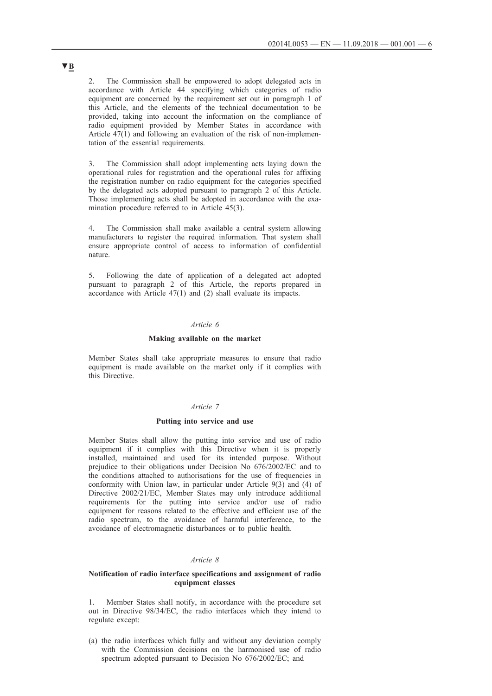2. The Commission shall be empowered to adopt delegated acts in accordance with Article 44 specifying which categories of radio equipment are concerned by the requirement set out in paragraph 1 of this Article, and the elements of the technical documentation to be provided, taking into account the information on the compliance of radio equipment provided by Member States in accordance with Article 47(1) and following an evaluation of the risk of non-implementation of the essential requirements.

3. The Commission shall adopt implementing acts laying down the operational rules for registration and the operational rules for affixing the registration number on radio equipment for the categories specified by the delegated acts adopted pursuant to paragraph 2 of this Article. Those implementing acts shall be adopted in accordance with the examination procedure referred to in Article 45(3).

4. The Commission shall make available a central system allowing manufacturers to register the required information. That system shall ensure appropriate control of access to information of confidential nature.

5. Following the date of application of a delegated act adopted pursuant to paragraph 2 of this Article, the reports prepared in accordance with Article 47(1) and (2) shall evaluate its impacts.

### *Article 6*

## **Making available on the market**

Member States shall take appropriate measures to ensure that radio equipment is made available on the market only if it complies with this Directive.

## *Article 7*

#### **Putting into service and use**

Member States shall allow the putting into service and use of radio equipment if it complies with this Directive when it is properly installed, maintained and used for its intended purpose. Without prejudice to their obligations under Decision No 676/2002/EC and to the conditions attached to authorisations for the use of frequencies in conformity with Union law, in particular under Article 9(3) and (4) of Directive 2002/21/EC, Member States may only introduce additional requirements for the putting into service and/or use of radio equipment for reasons related to the effective and efficient use of the radio spectrum, to the avoidance of harmful interference, to the avoidance of electromagnetic disturbances or to public health.

### *Article 8*

### **Notification of radio interface specifications and assignment of radio equipment classes**

1. Member States shall notify, in accordance with the procedure set out in Directive 98/34/EC, the radio interfaces which they intend to regulate except:

(a) the radio interfaces which fully and without any deviation comply with the Commission decisions on the harmonised use of radio spectrum adopted pursuant to Decision No 676/2002/EC; and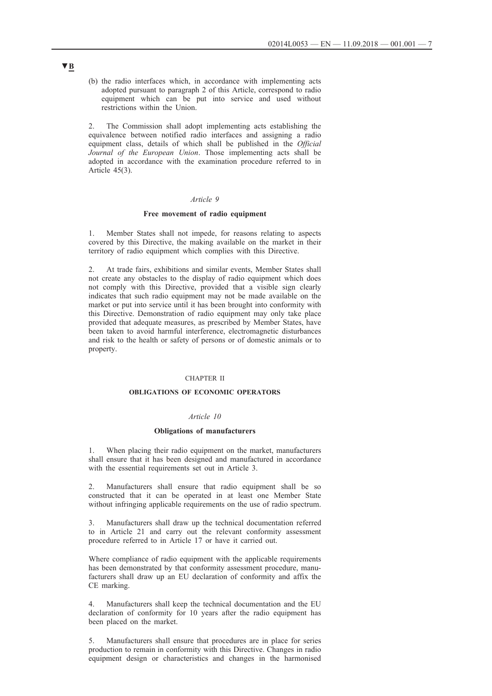(b) the radio interfaces which, in accordance with implementing acts adopted pursuant to paragraph 2 of this Article, correspond to radio equipment which can be put into service and used without restrictions within the Union.

2. The Commission shall adopt implementing acts establishing the equivalence between notified radio interfaces and assigning a radio equipment class, details of which shall be published in the *Official Journal of the European Union*. Those implementing acts shall be adopted in accordance with the examination procedure referred to in Article 45(3).

### *Article 9*

### **Free movement of radio equipment**

1. Member States shall not impede, for reasons relating to aspects covered by this Directive, the making available on the market in their territory of radio equipment which complies with this Directive.

2. At trade fairs, exhibitions and similar events, Member States shall not create any obstacles to the display of radio equipment which does not comply with this Directive, provided that a visible sign clearly indicates that such radio equipment may not be made available on the market or put into service until it has been brought into conformity with this Directive. Demonstration of radio equipment may only take place provided that adequate measures, as prescribed by Member States, have been taken to avoid harmful interference, electromagnetic disturbances and risk to the health or safety of persons or of domestic animals or to property.

### CHAPTER II

## **OBLIGATIONS OF ECONOMIC OPERATORS**

#### *Article 10*

#### **Obligations of manufacturers**

1. When placing their radio equipment on the market, manufacturers shall ensure that it has been designed and manufactured in accordance with the essential requirements set out in Article 3.

2. Manufacturers shall ensure that radio equipment shall be so constructed that it can be operated in at least one Member State without infringing applicable requirements on the use of radio spectrum.

3. Manufacturers shall draw up the technical documentation referred to in Article 21 and carry out the relevant conformity assessment procedure referred to in Article 17 or have it carried out.

Where compliance of radio equipment with the applicable requirements has been demonstrated by that conformity assessment procedure, manufacturers shall draw up an EU declaration of conformity and affix the CE marking.

4. Manufacturers shall keep the technical documentation and the EU declaration of conformity for 10 years after the radio equipment has been placed on the market.

5. Manufacturers shall ensure that procedures are in place for series production to remain in conformity with this Directive. Changes in radio equipment design or characteristics and changes in the harmonised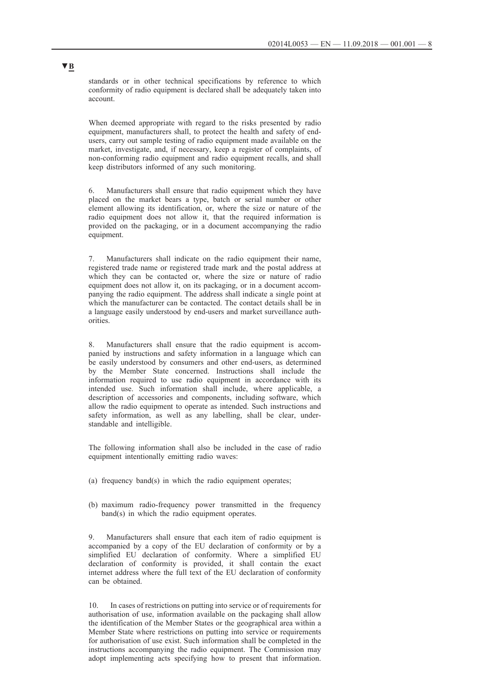standards or in other technical specifications by reference to which conformity of radio equipment is declared shall be adequately taken into account.

When deemed appropriate with regard to the risks presented by radio equipment, manufacturers shall, to protect the health and safety of endusers, carry out sample testing of radio equipment made available on the market, investigate, and, if necessary, keep a register of complaints, of non-conforming radio equipment and radio equipment recalls, and shall keep distributors informed of any such monitoring.

6. Manufacturers shall ensure that radio equipment which they have placed on the market bears a type, batch or serial number or other element allowing its identification, or, where the size or nature of the radio equipment does not allow it, that the required information is provided on the packaging, or in a document accompanying the radio equipment.

7. Manufacturers shall indicate on the radio equipment their name, registered trade name or registered trade mark and the postal address at which they can be contacted or, where the size or nature of radio equipment does not allow it, on its packaging, or in a document accompanying the radio equipment. The address shall indicate a single point at which the manufacturer can be contacted. The contact details shall be in a language easily understood by end-users and market surveillance authorities.

8. Manufacturers shall ensure that the radio equipment is accompanied by instructions and safety information in a language which can be easily understood by consumers and other end-users, as determined by the Member State concerned. Instructions shall include the information required to use radio equipment in accordance with its intended use. Such information shall include, where applicable, a description of accessories and components, including software, which allow the radio equipment to operate as intended. Such instructions and safety information, as well as any labelling, shall be clear, understandable and intelligible.

The following information shall also be included in the case of radio equipment intentionally emitting radio waves:

- (a) frequency band(s) in which the radio equipment operates;
- (b) maximum radio-frequency power transmitted in the frequency band(s) in which the radio equipment operates.

9. Manufacturers shall ensure that each item of radio equipment is accompanied by a copy of the EU declaration of conformity or by a simplified EU declaration of conformity. Where a simplified EU declaration of conformity is provided, it shall contain the exact internet address where the full text of the EU declaration of conformity can be obtained.

10. In cases of restrictions on putting into service or of requirements for authorisation of use, information available on the packaging shall allow the identification of the Member States or the geographical area within a Member State where restrictions on putting into service or requirements for authorisation of use exist. Such information shall be completed in the instructions accompanying the radio equipment. The Commission may adopt implementing acts specifying how to present that information.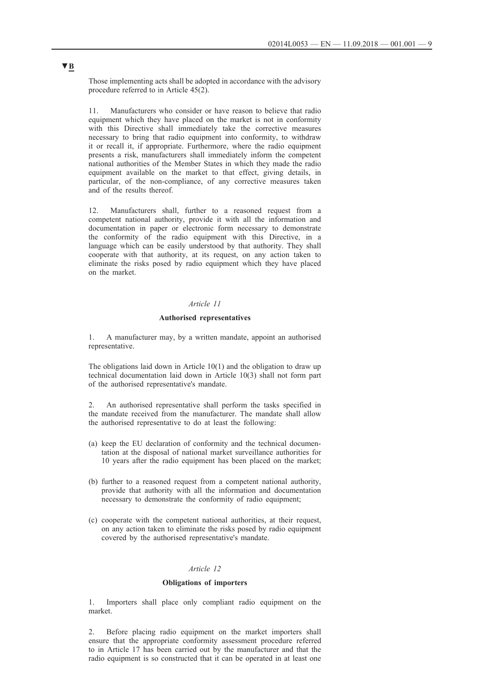Those implementing acts shall be adopted in accordance with the advisory procedure referred to in Article 45(2).

Manufacturers who consider or have reason to believe that radio equipment which they have placed on the market is not in conformity with this Directive shall immediately take the corrective measures necessary to bring that radio equipment into conformity, to withdraw it or recall it, if appropriate. Furthermore, where the radio equipment presents a risk, manufacturers shall immediately inform the competent national authorities of the Member States in which they made the radio equipment available on the market to that effect, giving details, in particular, of the non-compliance, of any corrective measures taken and of the results thereof.

12. Manufacturers shall, further to a reasoned request from a competent national authority, provide it with all the information and documentation in paper or electronic form necessary to demonstrate the conformity of the radio equipment with this Directive, in a language which can be easily understood by that authority. They shall cooperate with that authority, at its request, on any action taken to eliminate the risks posed by radio equipment which they have placed on the market.

## *Article 11*

## **Authorised representatives**

1. A manufacturer may, by a written mandate, appoint an authorised representative.

The obligations laid down in Article 10(1) and the obligation to draw up technical documentation laid down in Article 10(3) shall not form part of the authorised representative's mandate.

2. An authorised representative shall perform the tasks specified in the mandate received from the manufacturer. The mandate shall allow the authorised representative to do at least the following:

- (a) keep the EU declaration of conformity and the technical documentation at the disposal of national market surveillance authorities for 10 years after the radio equipment has been placed on the market;
- (b) further to a reasoned request from a competent national authority, provide that authority with all the information and documentation necessary to demonstrate the conformity of radio equipment;
- (c) cooperate with the competent national authorities, at their request, on any action taken to eliminate the risks posed by radio equipment covered by the authorised representative's mandate.

## *Article 12*

## **Obligations of importers**

1. Importers shall place only compliant radio equipment on the market.

2. Before placing radio equipment on the market importers shall ensure that the appropriate conformity assessment procedure referred to in Article 17 has been carried out by the manufacturer and that the radio equipment is so constructed that it can be operated in at least one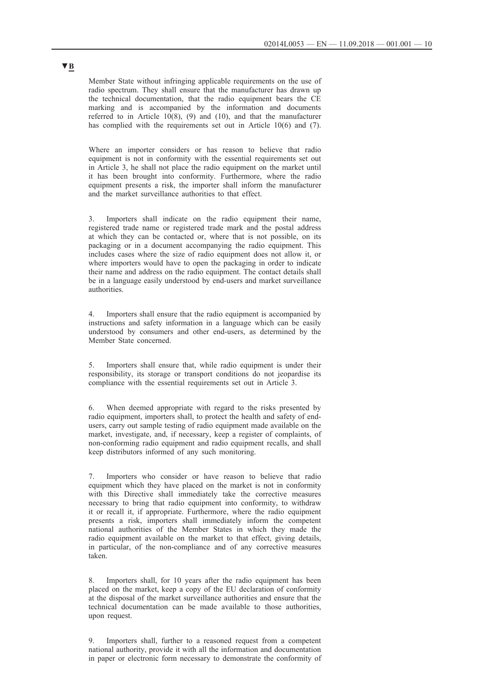Member State without infringing applicable requirements on the use of radio spectrum. They shall ensure that the manufacturer has drawn up the technical documentation, that the radio equipment bears the CE marking and is accompanied by the information and documents referred to in Article  $10(8)$ , (9) and (10), and that the manufacturer has complied with the requirements set out in Article 10(6) and (7).

Where an importer considers or has reason to believe that radio equipment is not in conformity with the essential requirements set out in Article 3, he shall not place the radio equipment on the market until it has been brought into conformity. Furthermore, where the radio equipment presents a risk, the importer shall inform the manufacturer and the market surveillance authorities to that effect.

3. Importers shall indicate on the radio equipment their name, registered trade name or registered trade mark and the postal address at which they can be contacted or, where that is not possible, on its packaging or in a document accompanying the radio equipment. This includes cases where the size of radio equipment does not allow it, or where importers would have to open the packaging in order to indicate their name and address on the radio equipment. The contact details shall be in a language easily understood by end-users and market surveillance authorities.

4. Importers shall ensure that the radio equipment is accompanied by instructions and safety information in a language which can be easily understood by consumers and other end-users, as determined by the Member State concerned.

5. Importers shall ensure that, while radio equipment is under their responsibility, its storage or transport conditions do not jeopardise its compliance with the essential requirements set out in Article 3.

6. When deemed appropriate with regard to the risks presented by radio equipment, importers shall, to protect the health and safety of endusers, carry out sample testing of radio equipment made available on the market, investigate, and, if necessary, keep a register of complaints, of non-conforming radio equipment and radio equipment recalls, and shall keep distributors informed of any such monitoring.

7. Importers who consider or have reason to believe that radio equipment which they have placed on the market is not in conformity with this Directive shall immediately take the corrective measures necessary to bring that radio equipment into conformity, to withdraw it or recall it, if appropriate. Furthermore, where the radio equipment presents a risk, importers shall immediately inform the competent national authorities of the Member States in which they made the radio equipment available on the market to that effect, giving details, in particular, of the non-compliance and of any corrective measures taken.

8. Importers shall, for 10 years after the radio equipment has been placed on the market, keep a copy of the EU declaration of conformity at the disposal of the market surveillance authorities and ensure that the technical documentation can be made available to those authorities, upon request.

9. Importers shall, further to a reasoned request from a competent national authority, provide it with all the information and documentation in paper or electronic form necessary to demonstrate the conformity of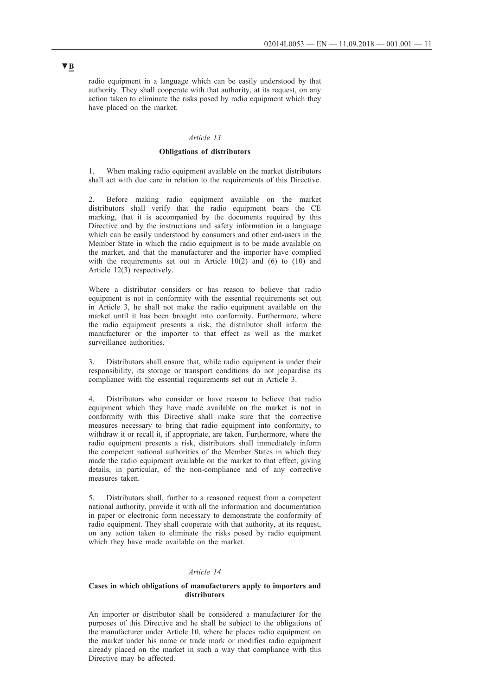radio equipment in a language which can be easily understood by that authority. They shall cooperate with that authority, at its request, on any action taken to eliminate the risks posed by radio equipment which they have placed on the market.

## *Article 13*

## **Obligations of distributors**

When making radio equipment available on the market distributors shall act with due care in relation to the requirements of this Directive.

2. Before making radio equipment available on the market distributors shall verify that the radio equipment bears the CE marking, that it is accompanied by the documents required by this Directive and by the instructions and safety information in a language which can be easily understood by consumers and other end-users in the Member State in which the radio equipment is to be made available on the market, and that the manufacturer and the importer have complied with the requirements set out in Article 10(2) and (6) to (10) and Article 12(3) respectively.

Where a distributor considers or has reason to believe that radio equipment is not in conformity with the essential requirements set out in Article 3, he shall not make the radio equipment available on the market until it has been brought into conformity. Furthermore, where the radio equipment presents a risk, the distributor shall inform the manufacturer or the importer to that effect as well as the market surveillance authorities.

Distributors shall ensure that, while radio equipment is under their responsibility, its storage or transport conditions do not jeopardise its compliance with the essential requirements set out in Article 3.

4. Distributors who consider or have reason to believe that radio equipment which they have made available on the market is not in conformity with this Directive shall make sure that the corrective measures necessary to bring that radio equipment into conformity, to withdraw it or recall it, if appropriate, are taken. Furthermore, where the radio equipment presents a risk, distributors shall immediately inform the competent national authorities of the Member States in which they made the radio equipment available on the market to that effect, giving details, in particular, of the non-compliance and of any corrective measures taken.

5. Distributors shall, further to a reasoned request from a competent national authority, provide it with all the information and documentation in paper or electronic form necessary to demonstrate the conformity of radio equipment. They shall cooperate with that authority, at its request, on any action taken to eliminate the risks posed by radio equipment which they have made available on the market.

### *Article 14*

#### **Cases in which obligations of manufacturers apply to importers and distributors**

An importer or distributor shall be considered a manufacturer for the purposes of this Directive and he shall be subject to the obligations of the manufacturer under Article 10, where he places radio equipment on the market under his name or trade mark or modifies radio equipment already placed on the market in such a way that compliance with this Directive may be affected.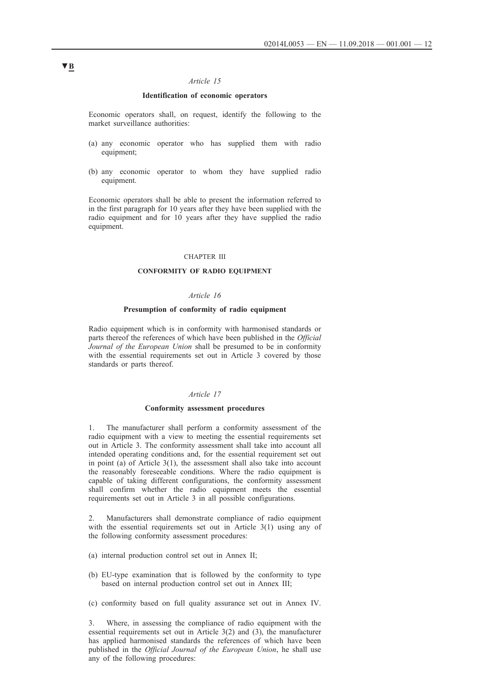## *Article 15*

### **Identification of economic operators**

Economic operators shall, on request, identify the following to the market surveillance authorities:

- (a) any economic operator who has supplied them with radio equipment:
- (b) any economic operator to whom they have supplied radio equipment.

Economic operators shall be able to present the information referred to in the first paragraph for 10 years after they have been supplied with the radio equipment and for 10 years after they have supplied the radio equipment.

#### CHAPTER III

#### **CONFORMITY OF RADIO EQUIPMENT**

## *Article 16*

#### **Presumption of conformity of radio equipment**

Radio equipment which is in conformity with harmonised standards or parts thereof the references of which have been published in the *Official Journal of the European Union* shall be presumed to be in conformity with the essential requirements set out in Article 3 covered by those standards or parts thereof.

### *Article 17*

#### **Conformity assessment procedures**

1. The manufacturer shall perform a conformity assessment of the radio equipment with a view to meeting the essential requirements set out in Article 3. The conformity assessment shall take into account all intended operating conditions and, for the essential requirement set out in point (a) of Article 3(1), the assessment shall also take into account the reasonably foreseeable conditions. Where the radio equipment is capable of taking different configurations, the conformity assessment shall confirm whether the radio equipment meets the essential requirements set out in Article 3 in all possible configurations.

2. Manufacturers shall demonstrate compliance of radio equipment with the essential requirements set out in Article 3(1) using any of the following conformity assessment procedures:

- (a) internal production control set out in Annex II;
- (b) EU-type examination that is followed by the conformity to type based on internal production control set out in Annex III;
- (c) conformity based on full quality assurance set out in Annex IV.

3. Where, in assessing the compliance of radio equipment with the essential requirements set out in Article 3(2) and (3), the manufacturer has applied harmonised standards the references of which have been published in the *Official Journal of the European Union*, he shall use any of the following procedures: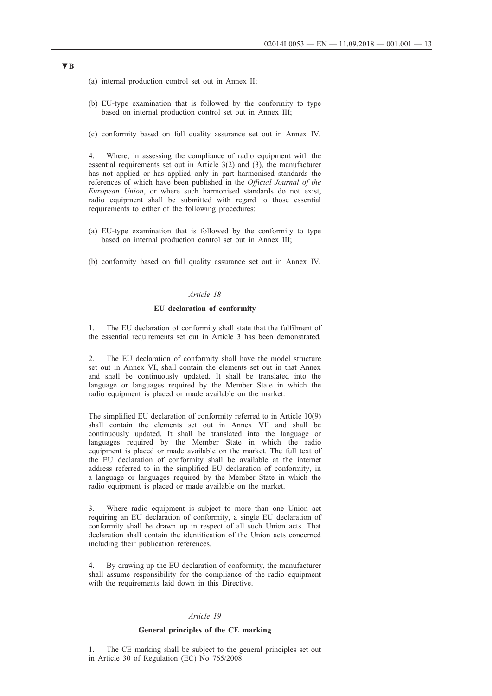- (a) internal production control set out in Annex II;
- (b) EU-type examination that is followed by the conformity to type based on internal production control set out in Annex III;
- (c) conformity based on full quality assurance set out in Annex IV.

4. Where, in assessing the compliance of radio equipment with the essential requirements set out in Article 3(2) and (3), the manufacturer has not applied or has applied only in part harmonised standards the references of which have been published in the *Official Journal of the European Union*, or where such harmonised standards do not exist, radio equipment shall be submitted with regard to those essential requirements to either of the following procedures:

- (a) EU-type examination that is followed by the conformity to type based on internal production control set out in Annex III;
- (b) conformity based on full quality assurance set out in Annex IV.

### *Article 18*

### **EU declaration of conformity**

1. The EU declaration of conformity shall state that the fulfilment of the essential requirements set out in Article 3 has been demonstrated.

2. The EU declaration of conformity shall have the model structure set out in Annex VI, shall contain the elements set out in that Annex and shall be continuously updated. It shall be translated into the language or languages required by the Member State in which the radio equipment is placed or made available on the market.

The simplified EU declaration of conformity referred to in Article 10(9) shall contain the elements set out in Annex VII and shall be continuously updated. It shall be translated into the language or languages required by the Member State in which the radio equipment is placed or made available on the market. The full text of the EU declaration of conformity shall be available at the internet address referred to in the simplified EU declaration of conformity, in a language or languages required by the Member State in which the radio equipment is placed or made available on the market.

3. Where radio equipment is subject to more than one Union act requiring an EU declaration of conformity, a single EU declaration of conformity shall be drawn up in respect of all such Union acts. That declaration shall contain the identification of the Union acts concerned including their publication references.

4. By drawing up the EU declaration of conformity, the manufacturer shall assume responsibility for the compliance of the radio equipment with the requirements laid down in this Directive.

### *Article 19*

### **General principles of the CE marking**

1. The CE marking shall be subject to the general principles set out in Article 30 of Regulation (EC) No 765/2008.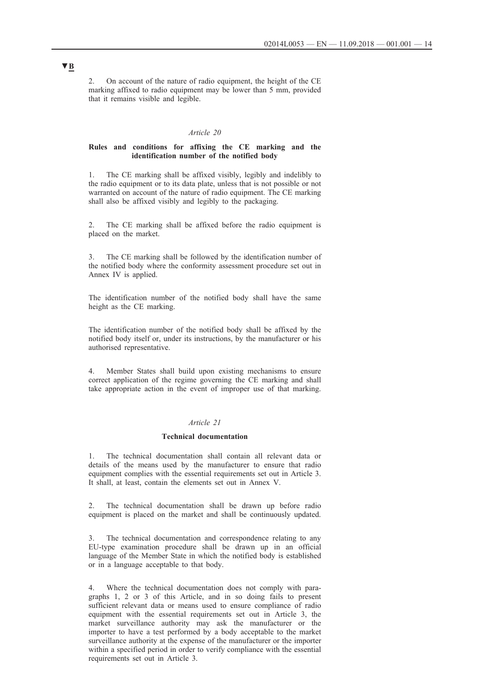2. On account of the nature of radio equipment, the height of the CE marking affixed to radio equipment may be lower than 5 mm, provided that it remains visible and legible.

#### *Article 20*

#### **Rules and conditions for affixing the CE marking and the identification number of the notified body**

1. The CE marking shall be affixed visibly, legibly and indelibly to the radio equipment or to its data plate, unless that is not possible or not warranted on account of the nature of radio equipment. The CE marking shall also be affixed visibly and legibly to the packaging.

The CE marking shall be affixed before the radio equipment is placed on the market.

The CE marking shall be followed by the identification number of the notified body where the conformity assessment procedure set out in Annex IV is applied.

The identification number of the notified body shall have the same height as the CE marking.

The identification number of the notified body shall be affixed by the notified body itself or, under its instructions, by the manufacturer or his authorised representative.

4. Member States shall build upon existing mechanisms to ensure correct application of the regime governing the CE marking and shall take appropriate action in the event of improper use of that marking.

## *Article 21*

### **Technical documentation**

1. The technical documentation shall contain all relevant data or details of the means used by the manufacturer to ensure that radio equipment complies with the essential requirements set out in Article 3. It shall, at least, contain the elements set out in Annex V.

2. The technical documentation shall be drawn up before radio equipment is placed on the market and shall be continuously updated.

The technical documentation and correspondence relating to any EU-type examination procedure shall be drawn up in an official language of the Member State in which the notified body is established or in a language acceptable to that body.

4. Where the technical documentation does not comply with paragraphs 1, 2 or 3 of this Article, and in so doing fails to present sufficient relevant data or means used to ensure compliance of radio equipment with the essential requirements set out in Article 3, the market surveillance authority may ask the manufacturer or the importer to have a test performed by a body acceptable to the market surveillance authority at the expense of the manufacturer or the importer within a specified period in order to verify compliance with the essential requirements set out in Article 3.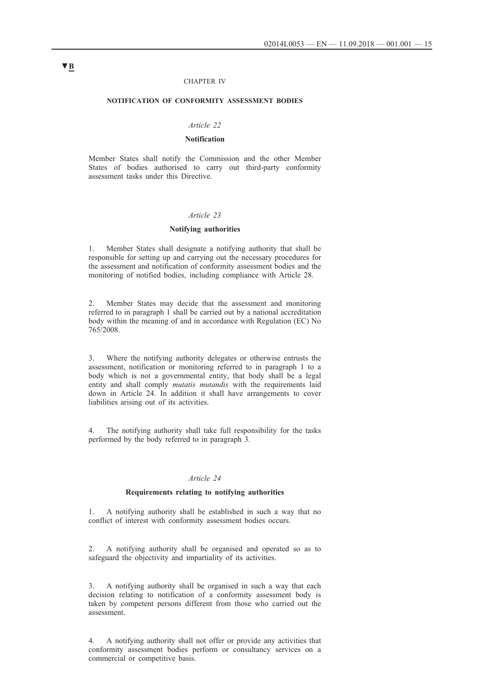#### CHAPTER IV

#### **NOTIFICATION OF CONFORMITY ASSESSMENT BODIES**

### *Article 22*

## **Notification**

Member States shall notify the Commission and the other Member States of bodies authorised to carry out third-party conformity assessment tasks under this Directive.

#### *Article 23*

### **Notifying authorities**

1. Member States shall designate a notifying authority that shall be responsible for setting up and carrying out the necessary procedures for the assessment and notification of conformity assessment bodies and the monitoring of notified bodies, including compliance with Article 28.

2. Member States may decide that the assessment and monitoring referred to in paragraph 1 shall be carried out by a national accreditation body within the meaning of and in accordance with Regulation (EC) No 765/2008.

3. Where the notifying authority delegates or otherwise entrusts the assessment, notification or monitoring referred to in paragraph 1 to a body which is not a governmental entity, that body shall be a legal entity and shall comply *mutatis mutandis* with the requirements laid down in Article 24. In addition it shall have arrangements to cover liabilities arising out of its activities.

4. The notifying authority shall take full responsibility for the tasks performed by the body referred to in paragraph 3.

#### *Article 24*

## **Requirements relating to notifying authorities**

1. A notifying authority shall be established in such a way that no conflict of interest with conformity assessment bodies occurs.

2. A notifying authority shall be organised and operated so as to safeguard the objectivity and impartiality of its activities.

3. A notifying authority shall be organised in such a way that each decision relating to notification of a conformity assessment body is taken by competent persons different from those who carried out the assessment.

4. A notifying authority shall not offer or provide any activities that conformity assessment bodies perform or consultancy services on a commercial or competitive basis.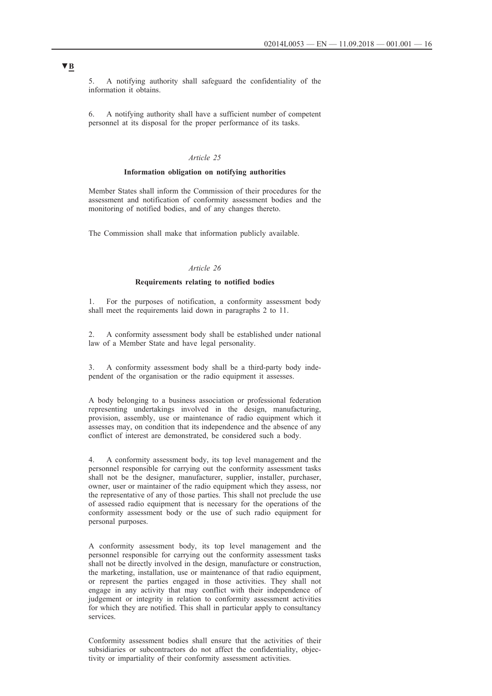5. A notifying authority shall safeguard the confidentiality of the information it obtains.

6. A notifying authority shall have a sufficient number of competent personnel at its disposal for the proper performance of its tasks.

#### *Article 25*

### **Information obligation on notifying authorities**

Member States shall inform the Commission of their procedures for the assessment and notification of conformity assessment bodies and the monitoring of notified bodies, and of any changes thereto.

The Commission shall make that information publicly available.

## *Article 26*

### **Requirements relating to notified bodies**

1. For the purposes of notification, a conformity assessment body shall meet the requirements laid down in paragraphs 2 to 11.

2. A conformity assessment body shall be established under national law of a Member State and have legal personality.

3. A conformity assessment body shall be a third-party body independent of the organisation or the radio equipment it assesses.

A body belonging to a business association or professional federation representing undertakings involved in the design, manufacturing, provision, assembly, use or maintenance of radio equipment which it assesses may, on condition that its independence and the absence of any conflict of interest are demonstrated, be considered such a body.

4. A conformity assessment body, its top level management and the personnel responsible for carrying out the conformity assessment tasks shall not be the designer, manufacturer, supplier, installer, purchaser, owner, user or maintainer of the radio equipment which they assess, nor the representative of any of those parties. This shall not preclude the use of assessed radio equipment that is necessary for the operations of the conformity assessment body or the use of such radio equipment for personal purposes.

A conformity assessment body, its top level management and the personnel responsible for carrying out the conformity assessment tasks shall not be directly involved in the design, manufacture or construction, the marketing, installation, use or maintenance of that radio equipment, or represent the parties engaged in those activities. They shall not engage in any activity that may conflict with their independence of judgement or integrity in relation to conformity assessment activities for which they are notified. This shall in particular apply to consultancy services.

Conformity assessment bodies shall ensure that the activities of their subsidiaries or subcontractors do not affect the confidentiality, objectivity or impartiality of their conformity assessment activities.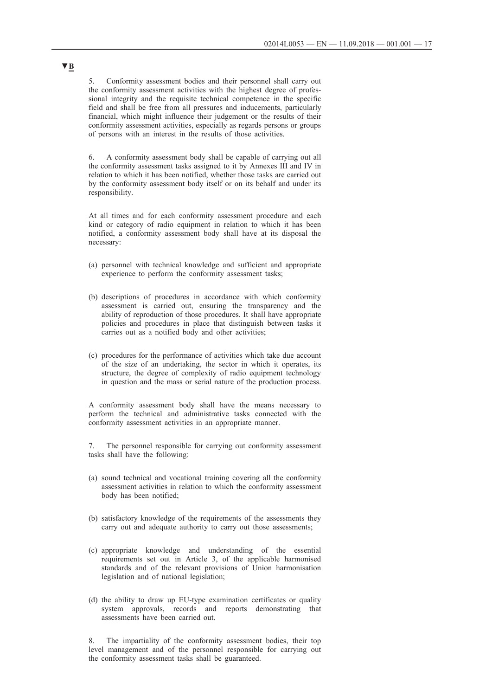5. Conformity assessment bodies and their personnel shall carry out the conformity assessment activities with the highest degree of professional integrity and the requisite technical competence in the specific field and shall be free from all pressures and inducements, particularly financial, which might influence their judgement or the results of their conformity assessment activities, especially as regards persons or groups of persons with an interest in the results of those activities.

6. A conformity assessment body shall be capable of carrying out all the conformity assessment tasks assigned to it by Annexes III and IV in relation to which it has been notified, whether those tasks are carried out by the conformity assessment body itself or on its behalf and under its responsibility.

At all times and for each conformity assessment procedure and each kind or category of radio equipment in relation to which it has been notified, a conformity assessment body shall have at its disposal the necessary:

- (a) personnel with technical knowledge and sufficient and appropriate experience to perform the conformity assessment tasks;
- (b) descriptions of procedures in accordance with which conformity assessment is carried out, ensuring the transparency and the ability of reproduction of those procedures. It shall have appropriate policies and procedures in place that distinguish between tasks it carries out as a notified body and other activities;
- (c) procedures for the performance of activities which take due account of the size of an undertaking, the sector in which it operates, its structure, the degree of complexity of radio equipment technology in question and the mass or serial nature of the production process.

A conformity assessment body shall have the means necessary to perform the technical and administrative tasks connected with the conformity assessment activities in an appropriate manner.

7. The personnel responsible for carrying out conformity assessment tasks shall have the following:

- (a) sound technical and vocational training covering all the conformity assessment activities in relation to which the conformity assessment body has been notified;
- (b) satisfactory knowledge of the requirements of the assessments they carry out and adequate authority to carry out those assessments;
- (c) appropriate knowledge and understanding of the essential requirements set out in Article 3, of the applicable harmonised standards and of the relevant provisions of Union harmonisation legislation and of national legislation;
- (d) the ability to draw up EU-type examination certificates or quality system approvals, records and reports demonstrating that assessments have been carried out.

8. The impartiality of the conformity assessment bodies, their top level management and of the personnel responsible for carrying out the conformity assessment tasks shall be guaranteed.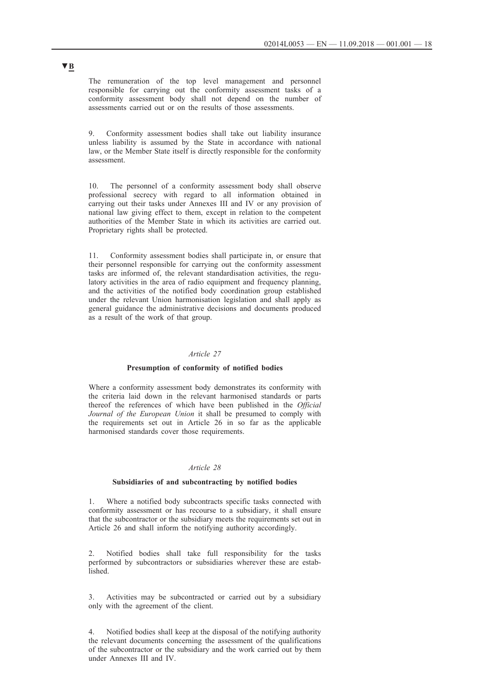The remuneration of the top level management and personnel responsible for carrying out the conformity assessment tasks of a conformity assessment body shall not depend on the number of assessments carried out or on the results of those assessments.

9. Conformity assessment bodies shall take out liability insurance unless liability is assumed by the State in accordance with national law, or the Member State itself is directly responsible for the conformity assessment.

10. The personnel of a conformity assessment body shall observe professional secrecy with regard to all information obtained in carrying out their tasks under Annexes III and IV or any provision of national law giving effect to them, except in relation to the competent authorities of the Member State in which its activities are carried out. Proprietary rights shall be protected.

11. Conformity assessment bodies shall participate in, or ensure that their personnel responsible for carrying out the conformity assessment tasks are informed of, the relevant standardisation activities, the regulatory activities in the area of radio equipment and frequency planning, and the activities of the notified body coordination group established under the relevant Union harmonisation legislation and shall apply as general guidance the administrative decisions and documents produced as a result of the work of that group.

## *Article 27*

#### **Presumption of conformity of notified bodies**

Where a conformity assessment body demonstrates its conformity with the criteria laid down in the relevant harmonised standards or parts thereof the references of which have been published in the *Official Journal of the European Union* it shall be presumed to comply with the requirements set out in Article 26 in so far as the applicable harmonised standards cover those requirements.

#### *Article 28*

#### **Subsidiaries of and subcontracting by notified bodies**

1. Where a notified body subcontracts specific tasks connected with conformity assessment or has recourse to a subsidiary, it shall ensure that the subcontractor or the subsidiary meets the requirements set out in Article 26 and shall inform the notifying authority accordingly.

2. Notified bodies shall take full responsibility for the tasks performed by subcontractors or subsidiaries wherever these are established.

3. Activities may be subcontracted or carried out by a subsidiary only with the agreement of the client.

4. Notified bodies shall keep at the disposal of the notifying authority the relevant documents concerning the assessment of the qualifications of the subcontractor or the subsidiary and the work carried out by them under Annexes III and IV.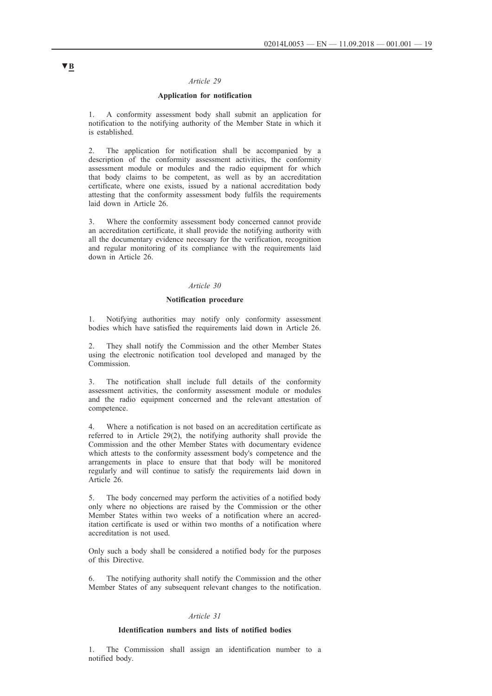## *Article 29*

## **Application for notification**

1. A conformity assessment body shall submit an application for notification to the notifying authority of the Member State in which it is established.

2. The application for notification shall be accompanied by a description of the conformity assessment activities, the conformity assessment module or modules and the radio equipment for which that body claims to be competent, as well as by an accreditation certificate, where one exists, issued by a national accreditation body attesting that the conformity assessment body fulfils the requirements laid down in Article 26.

3. Where the conformity assessment body concerned cannot provide an accreditation certificate, it shall provide the notifying authority with all the documentary evidence necessary for the verification, recognition and regular monitoring of its compliance with the requirements laid down in Article 26.

### *Article 30*

### **Notification procedure**

1. Notifying authorities may notify only conformity assessment bodies which have satisfied the requirements laid down in Article 26.

2. They shall notify the Commission and the other Member States using the electronic notification tool developed and managed by the Commission.

3. The notification shall include full details of the conformity assessment activities, the conformity assessment module or modules and the radio equipment concerned and the relevant attestation of competence.

4. Where a notification is not based on an accreditation certificate as referred to in Article 29(2), the notifying authority shall provide the Commission and the other Member States with documentary evidence which attests to the conformity assessment body's competence and the arrangements in place to ensure that that body will be monitored regularly and will continue to satisfy the requirements laid down in Article 26.

5. The body concerned may perform the activities of a notified body only where no objections are raised by the Commission or the other Member States within two weeks of a notification where an accreditation certificate is used or within two months of a notification where accreditation is not used.

Only such a body shall be considered a notified body for the purposes of this Directive.

6. The notifying authority shall notify the Commission and the other Member States of any subsequent relevant changes to the notification.

## *Article 31*

#### **Identification numbers and lists of notified bodies**

1. The Commission shall assign an identification number to a notified body.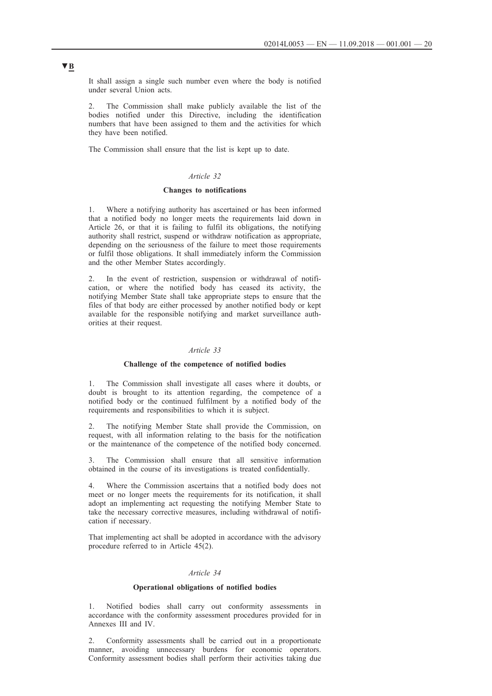It shall assign a single such number even where the body is notified under several Union acts.

The Commission shall make publicly available the list of the bodies notified under this Directive, including the identification numbers that have been assigned to them and the activities for which they have been notified.

The Commission shall ensure that the list is kept up to date.

## *Article 32*

### **Changes to notifications**

1. Where a notifying authority has ascertained or has been informed that a notified body no longer meets the requirements laid down in Article 26, or that it is failing to fulfil its obligations, the notifying authority shall restrict, suspend or withdraw notification as appropriate, depending on the seriousness of the failure to meet those requirements or fulfil those obligations. It shall immediately inform the Commission and the other Member States accordingly.

2. In the event of restriction, suspension or withdrawal of notification, or where the notified body has ceased its activity, the notifying Member State shall take appropriate steps to ensure that the files of that body are either processed by another notified body or kept available for the responsible notifying and market surveillance authorities at their request.

#### *Article 33*

#### **Challenge of the competence of notified bodies**

1. The Commission shall investigate all cases where it doubts, or doubt is brought to its attention regarding, the competence of a notified body or the continued fulfilment by a notified body of the requirements and responsibilities to which it is subject.

The notifying Member State shall provide the Commission, on request, with all information relating to the basis for the notification or the maintenance of the competence of the notified body concerned.

3. The Commission shall ensure that all sensitive information obtained in the course of its investigations is treated confidentially.

4. Where the Commission ascertains that a notified body does not meet or no longer meets the requirements for its notification, it shall adopt an implementing act requesting the notifying Member State to take the necessary corrective measures, including withdrawal of notification if necessary.

That implementing act shall be adopted in accordance with the advisory procedure referred to in Article 45(2).

## *Article 34*

### **Operational obligations of notified bodies**

Notified bodies shall carry out conformity assessments in accordance with the conformity assessment procedures provided for in Annexes III and IV.

2. Conformity assessments shall be carried out in a proportionate manner, avoiding unnecessary burdens for economic operators. Conformity assessment bodies shall perform their activities taking due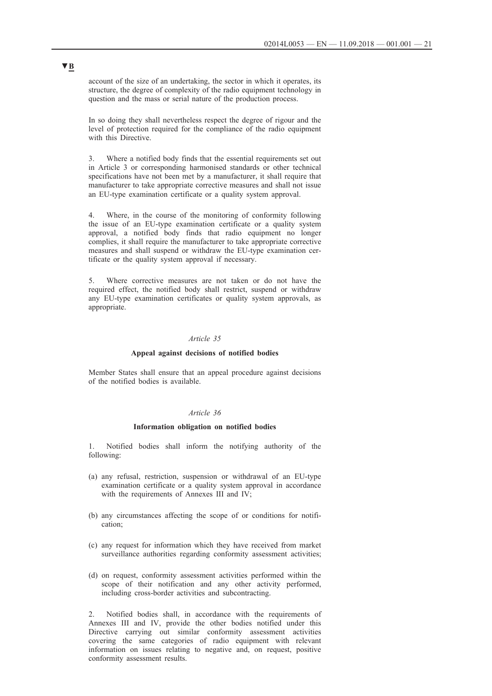account of the size of an undertaking, the sector in which it operates, its structure, the degree of complexity of the radio equipment technology in question and the mass or serial nature of the production process.

In so doing they shall nevertheless respect the degree of rigour and the level of protection required for the compliance of the radio equipment with this Directive

3. Where a notified body finds that the essential requirements set out in Article 3 or corresponding harmonised standards or other technical specifications have not been met by a manufacturer, it shall require that manufacturer to take appropriate corrective measures and shall not issue an EU-type examination certificate or a quality system approval.

4. Where, in the course of the monitoring of conformity following the issue of an EU-type examination certificate or a quality system approval, a notified body finds that radio equipment no longer complies, it shall require the manufacturer to take appropriate corrective measures and shall suspend or withdraw the EU-type examination certificate or the quality system approval if necessary.

Where corrective measures are not taken or do not have the required effect, the notified body shall restrict, suspend or withdraw any EU-type examination certificates or quality system approvals, as appropriate.

### *Article 35*

#### **Appeal against decisions of notified bodies**

Member States shall ensure that an appeal procedure against decisions of the notified bodies is available.

#### *Article 36*

#### **Information obligation on notified bodies**

1. Notified bodies shall inform the notifying authority of the following:

- (a) any refusal, restriction, suspension or withdrawal of an EU-type examination certificate or a quality system approval in accordance with the requirements of Annexes III and IV;
- (b) any circumstances affecting the scope of or conditions for notification;
- (c) any request for information which they have received from market surveillance authorities regarding conformity assessment activities;
- (d) on request, conformity assessment activities performed within the scope of their notification and any other activity performed, including cross-border activities and subcontracting.

2. Notified bodies shall, in accordance with the requirements of Annexes III and IV, provide the other bodies notified under this Directive carrying out similar conformity assessment activities covering the same categories of radio equipment with relevant information on issues relating to negative and, on request, positive conformity assessment results.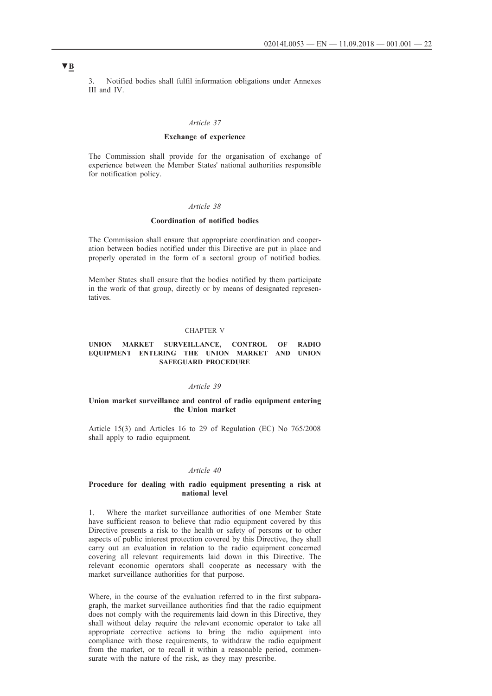3. Notified bodies shall fulfil information obligations under Annexes III and IV.

#### *Article 37*

### **Exchange of experience**

The Commission shall provide for the organisation of exchange of experience between the Member States' national authorities responsible for notification policy.

### *Article 38*

#### **Coordination of notified bodies**

The Commission shall ensure that appropriate coordination and cooperation between bodies notified under this Directive are put in place and properly operated in the form of a sectoral group of notified bodies.

Member States shall ensure that the bodies notified by them participate in the work of that group, directly or by means of designated representatives.

### CHAPTER V

#### **UNION MARKET SURVEILLANCE, CONTROL OF RADIO EQUIPMENT ENTERING THE UNION MARKET AND UNION SAFEGUARD PROCEDURE**

### *Article 39*

### **Union market surveillance and control of radio equipment entering the Union market**

Article 15(3) and Articles 16 to 29 of Regulation (EC) No 765/2008 shall apply to radio equipment.

#### *Article 40*

#### **Procedure for dealing with radio equipment presenting a risk at national level**

1. Where the market surveillance authorities of one Member State have sufficient reason to believe that radio equipment covered by this Directive presents a risk to the health or safety of persons or to other aspects of public interest protection covered by this Directive, they shall carry out an evaluation in relation to the radio equipment concerned covering all relevant requirements laid down in this Directive. The relevant economic operators shall cooperate as necessary with the market surveillance authorities for that purpose.

Where, in the course of the evaluation referred to in the first subparagraph, the market surveillance authorities find that the radio equipment does not comply with the requirements laid down in this Directive, they shall without delay require the relevant economic operator to take all appropriate corrective actions to bring the radio equipment into compliance with those requirements, to withdraw the radio equipment from the market, or to recall it within a reasonable period, commensurate with the nature of the risk, as they may prescribe.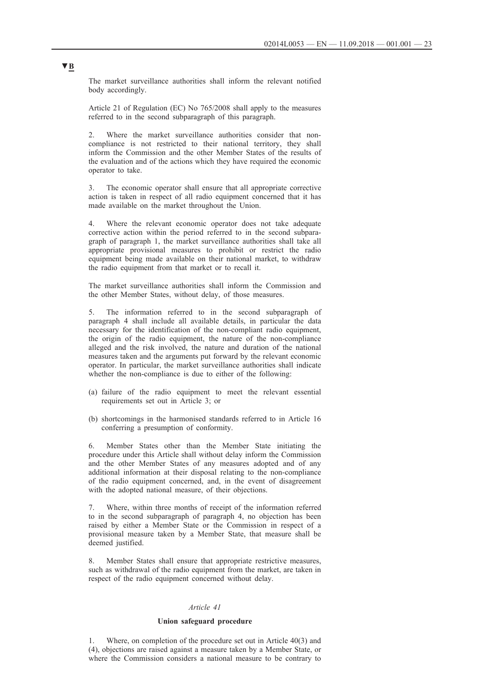The market surveillance authorities shall inform the relevant notified body accordingly.

Article 21 of Regulation (EC) No 765/2008 shall apply to the measures referred to in the second subparagraph of this paragraph.

2. Where the market surveillance authorities consider that noncompliance is not restricted to their national territory, they shall inform the Commission and the other Member States of the results of the evaluation and of the actions which they have required the economic operator to take.

3. The economic operator shall ensure that all appropriate corrective action is taken in respect of all radio equipment concerned that it has made available on the market throughout the Union.

4. Where the relevant economic operator does not take adequate corrective action within the period referred to in the second subparagraph of paragraph 1, the market surveillance authorities shall take all appropriate provisional measures to prohibit or restrict the radio equipment being made available on their national market, to withdraw the radio equipment from that market or to recall it.

The market surveillance authorities shall inform the Commission and the other Member States, without delay, of those measures.

5. The information referred to in the second subparagraph of paragraph 4 shall include all available details, in particular the data necessary for the identification of the non-compliant radio equipment, the origin of the radio equipment, the nature of the non-compliance alleged and the risk involved, the nature and duration of the national measures taken and the arguments put forward by the relevant economic operator. In particular, the market surveillance authorities shall indicate whether the non-compliance is due to either of the following:

- (a) failure of the radio equipment to meet the relevant essential requirements set out in Article 3; or
- (b) shortcomings in the harmonised standards referred to in Article 16 conferring a presumption of conformity.

6. Member States other than the Member State initiating the procedure under this Article shall without delay inform the Commission and the other Member States of any measures adopted and of any additional information at their disposal relating to the non-compliance of the radio equipment concerned, and, in the event of disagreement with the adopted national measure, of their objections.

7. Where, within three months of receipt of the information referred to in the second subparagraph of paragraph 4, no objection has been raised by either a Member State or the Commission in respect of a provisional measure taken by a Member State, that measure shall be deemed justified.

8. Member States shall ensure that appropriate restrictive measures, such as withdrawal of the radio equipment from the market, are taken in respect of the radio equipment concerned without delay.

#### *Article 41*

### **Union safeguard procedure**

1. Where, on completion of the procedure set out in Article 40(3) and (4), objections are raised against a measure taken by a Member State, or where the Commission considers a national measure to be contrary to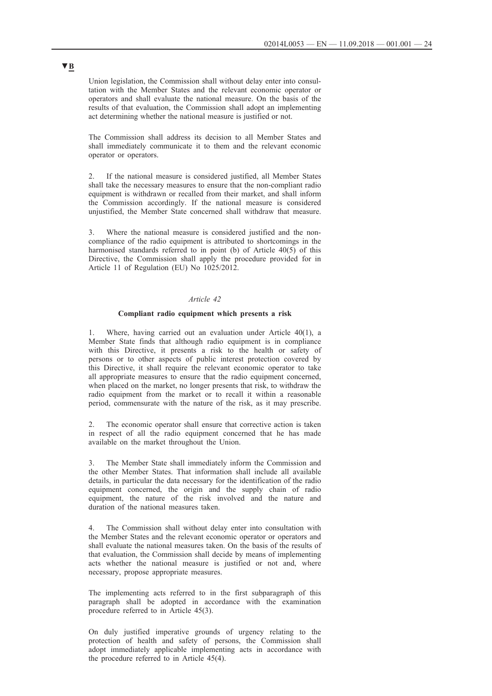Union legislation, the Commission shall without delay enter into consultation with the Member States and the relevant economic operator or operators and shall evaluate the national measure. On the basis of the results of that evaluation, the Commission shall adopt an implementing act determining whether the national measure is justified or not.

The Commission shall address its decision to all Member States and shall immediately communicate it to them and the relevant economic operator or operators.

2. If the national measure is considered justified, all Member States shall take the necessary measures to ensure that the non-compliant radio equipment is withdrawn or recalled from their market, and shall inform the Commission accordingly. If the national measure is considered unjustified, the Member State concerned shall withdraw that measure.

3. Where the national measure is considered justified and the noncompliance of the radio equipment is attributed to shortcomings in the harmonised standards referred to in point (b) of Article 40(5) of this Directive, the Commission shall apply the procedure provided for in Article 11 of Regulation (EU) No 1025/2012.

### *Article 42*

### **Compliant radio equipment which presents a risk**

Where, having carried out an evaluation under Article  $40(1)$ , a Member State finds that although radio equipment is in compliance with this Directive, it presents a risk to the health or safety of persons or to other aspects of public interest protection covered by this Directive, it shall require the relevant economic operator to take all appropriate measures to ensure that the radio equipment concerned, when placed on the market, no longer presents that risk, to withdraw the radio equipment from the market or to recall it within a reasonable period, commensurate with the nature of the risk, as it may prescribe.

The economic operator shall ensure that corrective action is taken in respect of all the radio equipment concerned that he has made available on the market throughout the Union.

3. The Member State shall immediately inform the Commission and the other Member States. That information shall include all available details, in particular the data necessary for the identification of the radio equipment concerned, the origin and the supply chain of radio equipment, the nature of the risk involved and the nature and duration of the national measures taken.

4. The Commission shall without delay enter into consultation with the Member States and the relevant economic operator or operators and shall evaluate the national measures taken. On the basis of the results of that evaluation, the Commission shall decide by means of implementing acts whether the national measure is justified or not and, where necessary, propose appropriate measures.

The implementing acts referred to in the first subparagraph of this paragraph shall be adopted in accordance with the examination procedure referred to in Article 45(3).

On duly justified imperative grounds of urgency relating to the protection of health and safety of persons, the Commission shall adopt immediately applicable implementing acts in accordance with the procedure referred to in Article 45(4).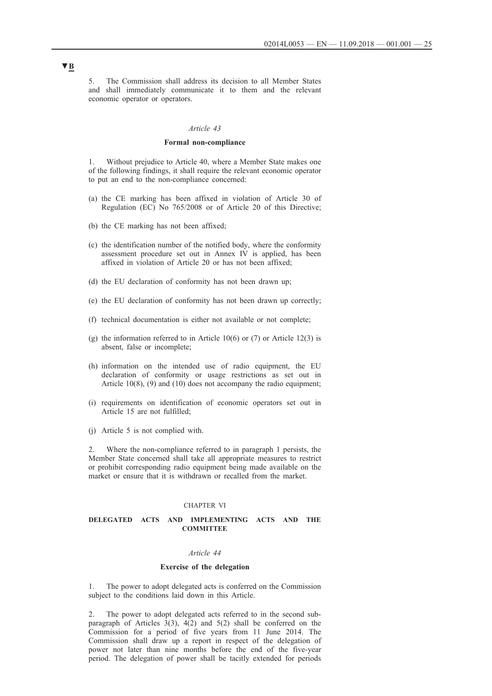5. The Commission shall address its decision to all Member States and shall immediately communicate it to them and the relevant economic operator or operators.

#### *Article 43*

## **Formal non-compliance**

1. Without prejudice to Article 40, where a Member State makes one of the following findings, it shall require the relevant economic operator to put an end to the non-compliance concerned:

- (a) the CE marking has been affixed in violation of Article 30 of Regulation (EC) No 765/2008 or of Article 20 of this Directive;
- (b) the CE marking has not been affixed;
- (c) the identification number of the notified body, where the conformity assessment procedure set out in Annex IV is applied, has been affixed in violation of Article 20 or has not been affixed;
- (d) the EU declaration of conformity has not been drawn up;
- (e) the EU declaration of conformity has not been drawn up correctly;
- (f) technical documentation is either not available or not complete;
- (g) the information referred to in Article 10(6) or  $(7)$  or Article 12(3) is absent, false or incomplete;
- (h) information on the intended use of radio equipment, the EU declaration of conformity or usage restrictions as set out in Article 10(8), (9) and (10) does not accompany the radio equipment;
- (i) requirements on identification of economic operators set out in Article 15 are not fulfilled;
- (j) Article 5 is not complied with.

2. Where the non-compliance referred to in paragraph 1 persists, the Member State concerned shall take all appropriate measures to restrict or prohibit corresponding radio equipment being made available on the market or ensure that it is withdrawn or recalled from the market.

#### CHAPTER VI

### **DELEGATED ACTS AND IMPLEMENTING ACTS AND THE COMMITTEE**

#### *Article 44*

#### **Exercise of the delegation**

1. The power to adopt delegated acts is conferred on the Commission subject to the conditions laid down in this Article.

2. The power to adopt delegated acts referred to in the second subparagraph of Articles  $3(3)$ ,  $4(2)$  and  $5(2)$  shall be conferred on the Commission for a period of five years from 11 June 2014. The Commission shall draw up a report in respect of the delegation of power not later than nine months before the end of the five-year period. The delegation of power shall be tacitly extended for periods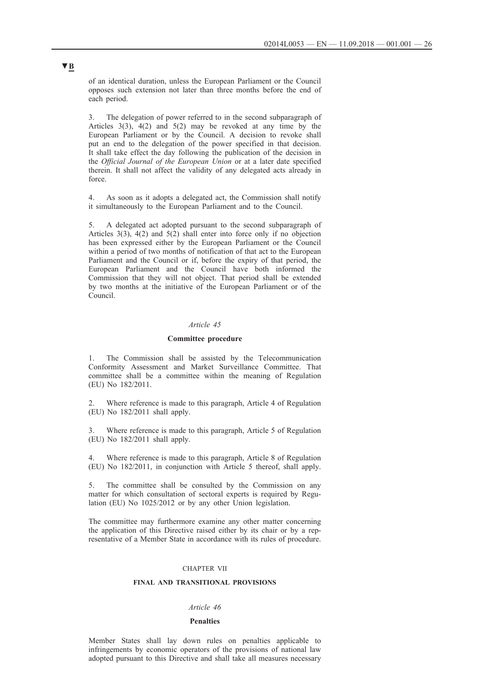of an identical duration, unless the European Parliament or the Council opposes such extension not later than three months before the end of each period.

3. The delegation of power referred to in the second subparagraph of Articles 3(3), 4(2) and 5(2) may be revoked at any time by the European Parliament or by the Council. A decision to revoke shall put an end to the delegation of the power specified in that decision. It shall take effect the day following the publication of the decision in the *Official Journal of the European Union* or at a later date specified therein. It shall not affect the validity of any delegated acts already in force.

4. As soon as it adopts a delegated act, the Commission shall notify it simultaneously to the European Parliament and to the Council.

5. A delegated act adopted pursuant to the second subparagraph of Articles 3(3), 4(2) and 5(2) shall enter into force only if no objection has been expressed either by the European Parliament or the Council within a period of two months of notification of that act to the European Parliament and the Council or if, before the expiry of that period, the European Parliament and the Council have both informed the Commission that they will not object. That period shall be extended by two months at the initiative of the European Parliament or of the Council.

#### *Article 45*

#### **Committee procedure**

1. The Commission shall be assisted by the Telecommunication Conformity Assessment and Market Surveillance Committee. That committee shall be a committee within the meaning of Regulation (EU) No 182/2011.

2. Where reference is made to this paragraph, Article 4 of Regulation (EU) No 182/2011 shall apply.

Where reference is made to this paragraph, Article 5 of Regulation (EU) No 182/2011 shall apply.

Where reference is made to this paragraph, Article 8 of Regulation (EU) No 182/2011, in conjunction with Article 5 thereof, shall apply.

5. The committee shall be consulted by the Commission on any matter for which consultation of sectoral experts is required by Regulation (EU) No 1025/2012 or by any other Union legislation.

The committee may furthermore examine any other matter concerning the application of this Directive raised either by its chair or by a representative of a Member State in accordance with its rules of procedure.

### CHAPTER VII

## **FINAL AND TRANSITIONAL PROVISIONS**

#### *Article 46*

#### **Penalties**

Member States shall lay down rules on penalties applicable to infringements by economic operators of the provisions of national law adopted pursuant to this Directive and shall take all measures necessary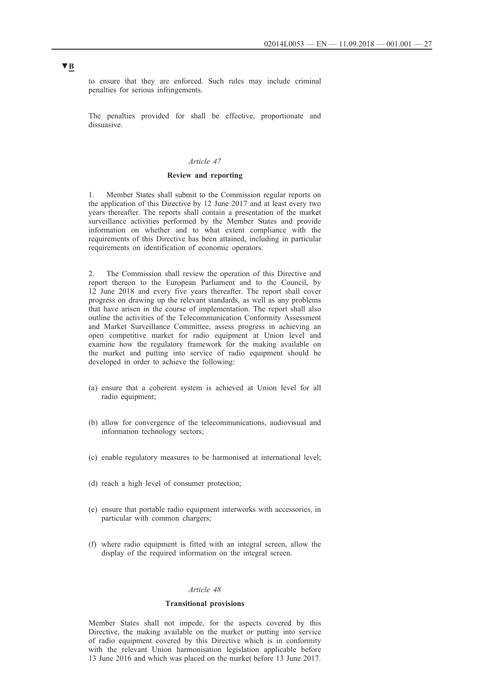to ensure that they are enforced. Such rules may include criminal penalties for serious infringements.

The penalties provided for shall be effective, proportionate and dissuasive.

#### *Article 47*

### **Review and reporting**

1. Member States shall submit to the Commission regular reports on the application of this Directive by 12 June 2017 and at least every two years thereafter. The reports shall contain a presentation of the market surveillance activities performed by the Member States and provide information on whether and to what extent compliance with the requirements of this Directive has been attained, including in particular requirements on identification of economic operators.

2. The Commission shall review the operation of this Directive and report thereon to the European Parliament and to the Council, by 12 June 2018 and every five years thereafter. The report shall cover progress on drawing up the relevant standards, as well as any problems that have arisen in the course of implementation. The report shall also outline the activities of the Telecommunication Conformity Assessment and Market Surveillance Committee, assess progress in achieving an open competitive market for radio equipment at Union level and examine how the regulatory framework for the making available on the market and putting into service of radio equipment should be developed in order to achieve the following:

- (a) ensure that a coherent system is achieved at Union level for all radio equipment;
- (b) allow for convergence of the telecommunications, audiovisual and information technology sectors;
- (c) enable regulatory measures to be harmonised at international level;
- (d) reach a high level of consumer protection;
- (e) ensure that portable radio equipment interworks with accessories, in particular with common chargers;
- (f) where radio equipment is fitted with an integral screen, allow the display of the required information on the integral screen.

#### *Article 48*

### **Transitional provisions**

Member States shall not impede, for the aspects covered by this Directive, the making available on the market or putting into service of radio equipment covered by this Directive which is in conformity with the relevant Union harmonisation legislation applicable before 13 June 2016 and which was placed on the market before 13 June 2017.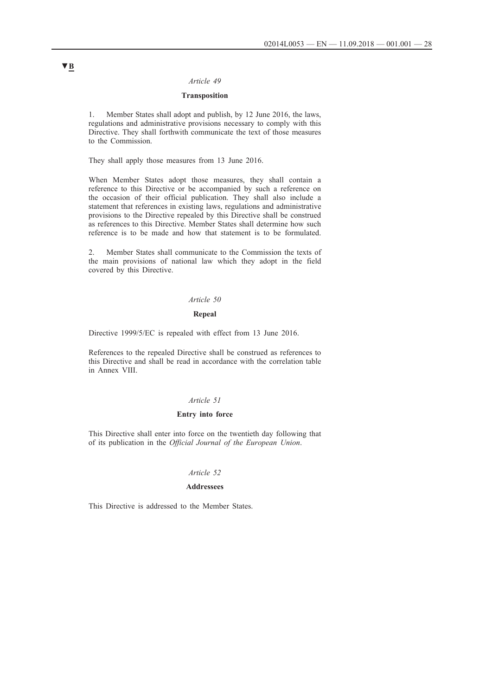### *Article 49*

## **Transposition**

1. Member States shall adopt and publish, by 12 June 2016, the laws, regulations and administrative provisions necessary to comply with this Directive. They shall forthwith communicate the text of those measures to the Commission.

They shall apply those measures from 13 June 2016.

When Member States adopt those measures, they shall contain a reference to this Directive or be accompanied by such a reference on the occasion of their official publication. They shall also include a statement that references in existing laws, regulations and administrative provisions to the Directive repealed by this Directive shall be construed as references to this Directive. Member States shall determine how such reference is to be made and how that statement is to be formulated.

2. Member States shall communicate to the Commission the texts of the main provisions of national law which they adopt in the field covered by this Directive.

### *Article 50*

## **Repeal**

Directive 1999/5/EC is repealed with effect from 13 June 2016.

References to the repealed Directive shall be construed as references to this Directive and shall be read in accordance with the correlation table in Annex VIII.

## *Article 51*

#### **Entry into force**

This Directive shall enter into force on the twentieth day following that of its publication in the *Official Journal of the European Union*.

#### *Article 52*

## **Addressees**

This Directive is addressed to the Member States.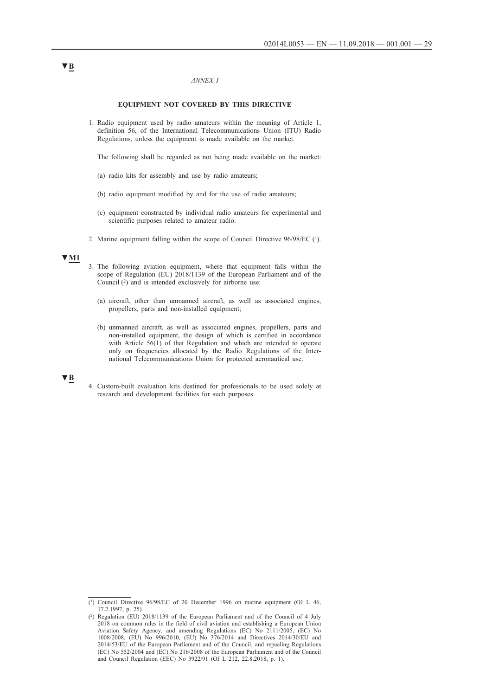#### *ANNEX I*

#### **EQUIPMENT NOT COVERED BY THIS DIRECTIVE**

1. Radio equipment used by radio amateurs within the meaning of Article 1, definition 56, of the International Telecommunications Union (ITU) Radio Regulations, unless the equipment is made available on the market.

The following shall be regarded as not being made available on the market:

- (a) radio kits for assembly and use by radio amateurs;
- (b) radio equipment modified by and for the use of radio amateurs;
- (c) equipment constructed by individual radio amateurs for experimental and scientific purposes related to amateur radio.
- 2. Marine equipment falling within the scope of Council Directive 96/98/EC (1).

## **▼M1**

- 3. The following aviation equipment, where that equipment falls within the scope of Regulation (EU) 2018/1139 of the European Parliament and of the Council (2) and is intended exclusively for airborne use:
	- (a) aircraft, other than unmanned aircraft, as well as associated engines, propellers, parts and non-installed equipment;
	- (b) unmanned aircraft, as well as associated engines, propellers, parts and non-installed equipment, the design of which is certified in accordance with Article 56(1) of that Regulation and which are intended to operate only on frequencies allocated by the Radio Regulations of the International Telecommunications Union for protected aeronautical use.

## **▼B**

4. Custom-built evaluation kits destined for professionals to be used solely at research and development facilities for such purposes.

<sup>(1)</sup> Council Directive 96/98/EC of 20 December 1996 on marine equipment (OJ L 46, 17.2.1997, p. 25).

<sup>(2)</sup> Regulation (EU) 2018/1139 of the European Parliament and of the Council of 4 July 2018 on common rules in the field of civil aviation and establishing a European Union Aviation Safety Agency, and amending Regulations (EC) No 2111/2005, (EC) No 1008/2008, (EU) No 996/2010, (EU) No 376/2014 and Directives 2014/30/EU and 2014/53/EU of the European Parliament and of the Council, and repealing Regulations (EC) No 552/2004 and (EC) No 216/2008 of the European Parliament and of the Council and Council Regulation (EEC) No 3922/91 (OJ L 212, 22.8.2018, p. 1).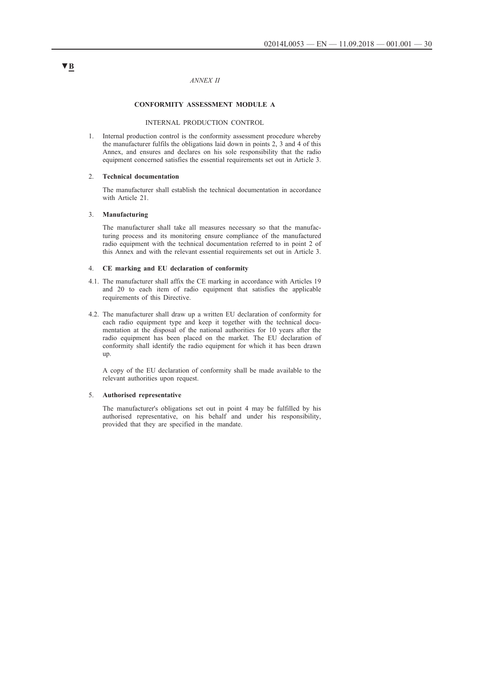#### *ANNEX II*

### **CONFORMITY ASSESSMENT MODULE A**

#### INTERNAL PRODUCTION CONTROL

1. Internal production control is the conformity assessment procedure whereby the manufacturer fulfils the obligations laid down in points 2, 3 and 4 of this Annex, and ensures and declares on his sole responsibility that the radio equipment concerned satisfies the essential requirements set out in Article 3.

### 2. **Technical documentation**

The manufacturer shall establish the technical documentation in accordance with Article 21.

#### 3. **Manufacturing**

The manufacturer shall take all measures necessary so that the manufacturing process and its monitoring ensure compliance of the manufactured radio equipment with the technical documentation referred to in point 2 of this Annex and with the relevant essential requirements set out in Article 3.

#### 4. **CE marking and EU declaration of conformity**

- 4.1. The manufacturer shall affix the CE marking in accordance with Articles 19 and 20 to each item of radio equipment that satisfies the applicable requirements of this Directive.
- 4.2. The manufacturer shall draw up a written EU declaration of conformity for each radio equipment type and keep it together with the technical documentation at the disposal of the national authorities for 10 years after the radio equipment has been placed on the market. The EU declaration of conformity shall identify the radio equipment for which it has been drawn up.

A copy of the EU declaration of conformity shall be made available to the relevant authorities upon request.

#### 5. **Authorised representative**

The manufacturer's obligations set out in point 4 may be fulfilled by his authorised representative, on his behalf and under his responsibility, provided that they are specified in the mandate.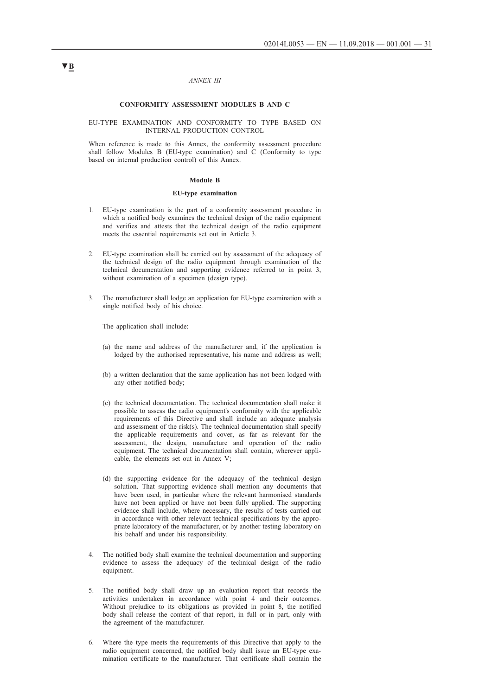#### *ANNEX III*

#### **CONFORMITY ASSESSMENT MODULES B AND C**

#### EU-TYPE EXAMINATION AND CONFORMITY TO TYPE BASED ON INTERNAL PRODUCTION CONTROL

When reference is made to this Annex, the conformity assessment procedure shall follow Modules B (EU-type examination) and C (Conformity to type based on internal production control) of this Annex.

#### **Module B**

#### **EU-type examination**

- 1. EU-type examination is the part of a conformity assessment procedure in which a notified body examines the technical design of the radio equipment and verifies and attests that the technical design of the radio equipment meets the essential requirements set out in Article 3.
- 2. EU-type examination shall be carried out by assessment of the adequacy of the technical design of the radio equipment through examination of the technical documentation and supporting evidence referred to in point 3, without examination of a specimen (design type).
- 3. The manufacturer shall lodge an application for EU-type examination with a single notified body of his choice.

The application shall include:

- (a) the name and address of the manufacturer and, if the application is lodged by the authorised representative, his name and address as well;
- (b) a written declaration that the same application has not been lodged with any other notified body;
- (c) the technical documentation. The technical documentation shall make it possible to assess the radio equipment's conformity with the applicable requirements of this Directive and shall include an adequate analysis and assessment of the risk(s). The technical documentation shall specify the applicable requirements and cover, as far as relevant for the assessment, the design, manufacture and operation of the radio equipment. The technical documentation shall contain, wherever applicable, the elements set out in Annex V;
- (d) the supporting evidence for the adequacy of the technical design solution. That supporting evidence shall mention any documents that have been used, in particular where the relevant harmonised standards have not been applied or have not been fully applied. The supporting evidence shall include, where necessary, the results of tests carried out in accordance with other relevant technical specifications by the appropriate laboratory of the manufacturer, or by another testing laboratory on his behalf and under his responsibility.
- 4. The notified body shall examine the technical documentation and supporting evidence to assess the adequacy of the technical design of the radio equipment.
- 5. The notified body shall draw up an evaluation report that records the activities undertaken in accordance with point 4 and their outcomes. Without prejudice to its obligations as provided in point 8, the notified body shall release the content of that report, in full or in part, only with the agreement of the manufacturer.
- 6. Where the type meets the requirements of this Directive that apply to the radio equipment concerned, the notified body shall issue an EU-type examination certificate to the manufacturer. That certificate shall contain the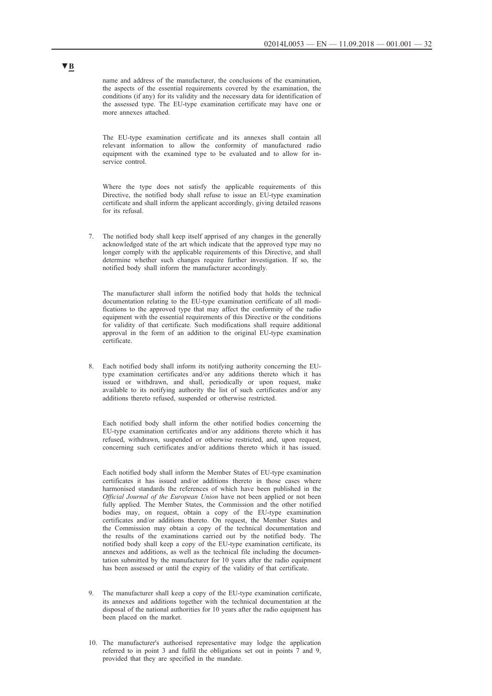name and address of the manufacturer, the conclusions of the examination, the aspects of the essential requirements covered by the examination, the conditions (if any) for its validity and the necessary data for identification of the assessed type. The EU-type examination certificate may have one or more annexes attached.

The EU-type examination certificate and its annexes shall contain all relevant information to allow the conformity of manufactured radio equipment with the examined type to be evaluated and to allow for inservice control.

Where the type does not satisfy the applicable requirements of this Directive, the notified body shall refuse to issue an EU-type examination certificate and shall inform the applicant accordingly, giving detailed reasons for its refusal.

7. The notified body shall keep itself apprised of any changes in the generally acknowledged state of the art which indicate that the approved type may no longer comply with the applicable requirements of this Directive, and shall determine whether such changes require further investigation. If so, the notified body shall inform the manufacturer accordingly.

The manufacturer shall inform the notified body that holds the technical documentation relating to the EU-type examination certificate of all modifications to the approved type that may affect the conformity of the radio equipment with the essential requirements of this Directive or the conditions for validity of that certificate. Such modifications shall require additional approval in the form of an addition to the original EU-type examination certificate.

8. Each notified body shall inform its notifying authority concerning the EUtype examination certificates and/or any additions thereto which it has issued or withdrawn, and shall, periodically or upon request, make available to its notifying authority the list of such certificates and/or any additions thereto refused, suspended or otherwise restricted.

Each notified body shall inform the other notified bodies concerning the EU-type examination certificates and/or any additions thereto which it has refused, withdrawn, suspended or otherwise restricted, and, upon request, concerning such certificates and/or additions thereto which it has issued.

Each notified body shall inform the Member States of EU-type examination certificates it has issued and/or additions thereto in those cases where harmonised standards the references of which have been published in the *Official Journal of the European Union* have not been applied or not been fully applied. The Member States, the Commission and the other notified bodies may, on request, obtain a copy of the EU-type examination certificates and/or additions thereto. On request, the Member States and the Commission may obtain a copy of the technical documentation and the results of the examinations carried out by the notified body. The notified body shall keep a copy of the EU-type examination certificate, its annexes and additions, as well as the technical file including the documentation submitted by the manufacturer for 10 years after the radio equipment has been assessed or until the expiry of the validity of that certificate.

- 9. The manufacturer shall keep a copy of the EU-type examination certificate, its annexes and additions together with the technical documentation at the disposal of the national authorities for 10 years after the radio equipment has been placed on the market.
- 10. The manufacturer's authorised representative may lodge the application referred to in point 3 and fulfil the obligations set out in points 7 and 9, provided that they are specified in the mandate.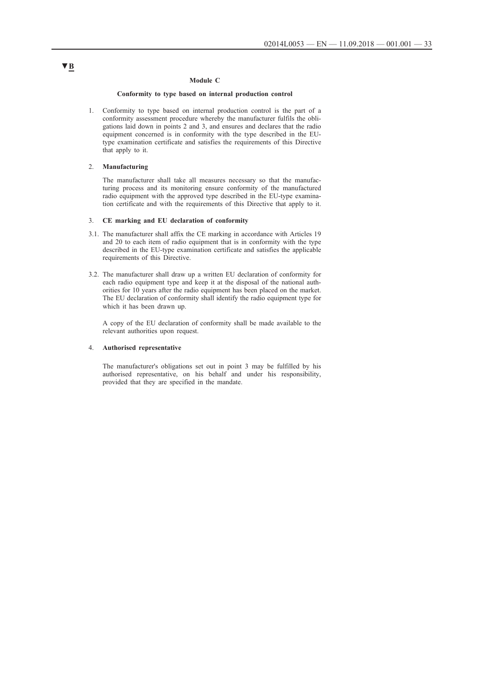### **Module C**

### **Conformity to type based on internal production control**

1. Conformity to type based on internal production control is the part of a conformity assessment procedure whereby the manufacturer fulfils the obligations laid down in points 2 and 3, and ensures and declares that the radio equipment concerned is in conformity with the type described in the EUtype examination certificate and satisfies the requirements of this Directive that apply to it.

### 2. **Manufacturing**

The manufacturer shall take all measures necessary so that the manufacturing process and its monitoring ensure conformity of the manufactured radio equipment with the approved type described in the EU-type examination certificate and with the requirements of this Directive that apply to it.

### 3. **CE marking and EU declaration of conformity**

- 3.1. The manufacturer shall affix the CE marking in accordance with Articles 19 and 20 to each item of radio equipment that is in conformity with the type described in the EU-type examination certificate and satisfies the applicable requirements of this Directive.
- 3.2. The manufacturer shall draw up a written EU declaration of conformity for each radio equipment type and keep it at the disposal of the national authorities for 10 years after the radio equipment has been placed on the market. The EU declaration of conformity shall identify the radio equipment type for which it has been drawn up.

A copy of the EU declaration of conformity shall be made available to the relevant authorities upon request.

#### 4. **Authorised representative**

The manufacturer's obligations set out in point 3 may be fulfilled by his authorised representative, on his behalf and under his responsibility, provided that they are specified in the mandate.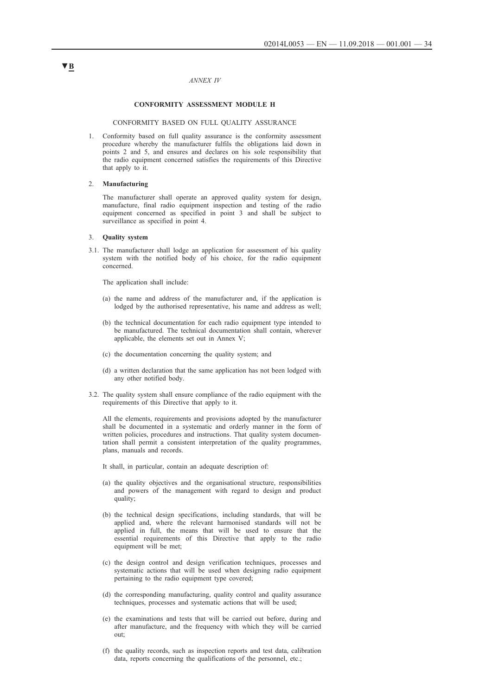#### *ANNEX IV*

#### **CONFORMITY ASSESSMENT MODULE H**

#### CONFORMITY BASED ON FULL QUALITY ASSURANCE

1. Conformity based on full quality assurance is the conformity assessment procedure whereby the manufacturer fulfils the obligations laid down in points 2 and 5, and ensures and declares on his sole responsibility that the radio equipment concerned satisfies the requirements of this Directive that apply to it.

#### 2. **Manufacturing**

The manufacturer shall operate an approved quality system for design, manufacture, final radio equipment inspection and testing of the radio equipment concerned as specified in point 3 and shall be subject to surveillance as specified in point 4.

#### 3. **Quality system**

3.1. The manufacturer shall lodge an application for assessment of his quality system with the notified body of his choice, for the radio equipment concerned.

The application shall include:

- (a) the name and address of the manufacturer and, if the application is lodged by the authorised representative, his name and address as well;
- (b) the technical documentation for each radio equipment type intended to be manufactured. The technical documentation shall contain, wherever applicable, the elements set out in Annex V;
- (c) the documentation concerning the quality system; and
- (d) a written declaration that the same application has not been lodged with any other notified body.
- 3.2. The quality system shall ensure compliance of the radio equipment with the requirements of this Directive that apply to it.

All the elements, requirements and provisions adopted by the manufacturer shall be documented in a systematic and orderly manner in the form of written policies, procedures and instructions. That quality system documentation shall permit a consistent interpretation of the quality programmes, plans, manuals and records.

It shall, in particular, contain an adequate description of:

- (a) the quality objectives and the organisational structure, responsibilities and powers of the management with regard to design and product quality;
- (b) the technical design specifications, including standards, that will be applied and, where the relevant harmonised standards will not be applied in full, the means that will be used to ensure that the essential requirements of this Directive that apply to the radio equipment will be met;
- (c) the design control and design verification techniques, processes and systematic actions that will be used when designing radio equipment pertaining to the radio equipment type covered;
- (d) the corresponding manufacturing, quality control and quality assurance techniques, processes and systematic actions that will be used;
- (e) the examinations and tests that will be carried out before, during and after manufacture, and the frequency with which they will be carried out;
- (f) the quality records, such as inspection reports and test data, calibration data, reports concerning the qualifications of the personnel, etc.;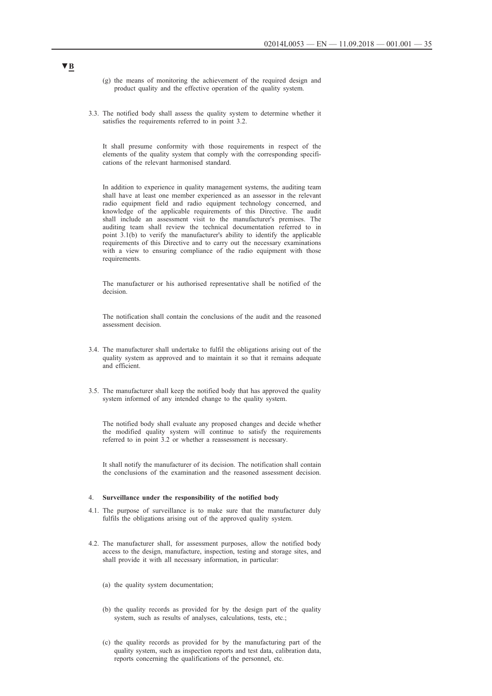- (g) the means of monitoring the achievement of the required design and product quality and the effective operation of the quality system.
- 3.3. The notified body shall assess the quality system to determine whether it satisfies the requirements referred to in point 3.2.

It shall presume conformity with those requirements in respect of the elements of the quality system that comply with the corresponding specifications of the relevant harmonised standard.

In addition to experience in quality management systems, the auditing team shall have at least one member experienced as an assessor in the relevant radio equipment field and radio equipment technology concerned, and knowledge of the applicable requirements of this Directive. The audit shall include an assessment visit to the manufacturer's premises. The auditing team shall review the technical documentation referred to in point 3.1(b) to verify the manufacturer's ability to identify the applicable requirements of this Directive and to carry out the necessary examinations with a view to ensuring compliance of the radio equipment with those requirements.

The manufacturer or his authorised representative shall be notified of the decision.

The notification shall contain the conclusions of the audit and the reasoned assessment decision.

- 3.4. The manufacturer shall undertake to fulfil the obligations arising out of the quality system as approved and to maintain it so that it remains adequate and efficient.
- 3.5. The manufacturer shall keep the notified body that has approved the quality system informed of any intended change to the quality system.

The notified body shall evaluate any proposed changes and decide whether the modified quality system will continue to satisfy the requirements referred to in point 3.2 or whether a reassessment is necessary.

It shall notify the manufacturer of its decision. The notification shall contain the conclusions of the examination and the reasoned assessment decision.

#### 4. **Surveillance under the responsibility of the notified body**

- 4.1. The purpose of surveillance is to make sure that the manufacturer duly fulfils the obligations arising out of the approved quality system.
- 4.2. The manufacturer shall, for assessment purposes, allow the notified body access to the design, manufacture, inspection, testing and storage sites, and shall provide it with all necessary information, in particular:
	- (a) the quality system documentation;
	- (b) the quality records as provided for by the design part of the quality system, such as results of analyses, calculations, tests, etc.;
	- (c) the quality records as provided for by the manufacturing part of the quality system, such as inspection reports and test data, calibration data, reports concerning the qualifications of the personnel, etc.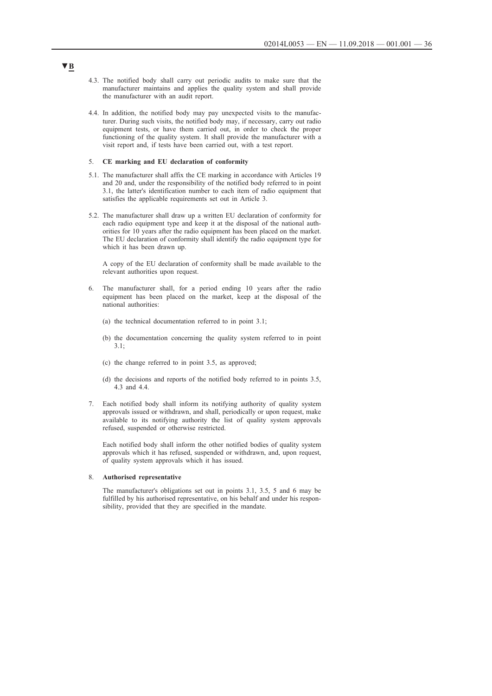- 4.3. The notified body shall carry out periodic audits to make sure that the manufacturer maintains and applies the quality system and shall provide the manufacturer with an audit report.
- 4.4. In addition, the notified body may pay unexpected visits to the manufacturer. During such visits, the notified body may, if necessary, carry out radio equipment tests, or have them carried out, in order to check the proper functioning of the quality system. It shall provide the manufacturer with a visit report and, if tests have been carried out, with a test report.

#### 5. **CE marking and EU declaration of conformity**

- 5.1. The manufacturer shall affix the CE marking in accordance with Articles 19 and 20 and, under the responsibility of the notified body referred to in point 3.1, the latter's identification number to each item of radio equipment that satisfies the applicable requirements set out in Article 3.
- 5.2. The manufacturer shall draw up a written EU declaration of conformity for each radio equipment type and keep it at the disposal of the national authorities for 10 years after the radio equipment has been placed on the market. The EU declaration of conformity shall identify the radio equipment type for which it has been drawn up.

A copy of the EU declaration of conformity shall be made available to the relevant authorities upon request.

- 6. The manufacturer shall, for a period ending 10 years after the radio equipment has been placed on the market, keep at the disposal of the national authorities:
	- (a) the technical documentation referred to in point 3.1;
	- (b) the documentation concerning the quality system referred to in point 3.1;
	- (c) the change referred to in point 3.5, as approved;
	- (d) the decisions and reports of the notified body referred to in points 3.5, 4.3 and 4.4.
- 7. Each notified body shall inform its notifying authority of quality system approvals issued or withdrawn, and shall, periodically or upon request, make available to its notifying authority the list of quality system approvals refused, suspended or otherwise restricted.

Each notified body shall inform the other notified bodies of quality system approvals which it has refused, suspended or withdrawn, and, upon request, of quality system approvals which it has issued.

#### 8. **Authorised representative**

The manufacturer's obligations set out in points 3.1, 3.5, 5 and 6 may be fulfilled by his authorised representative, on his behalf and under his responsibility, provided that they are specified in the mandate.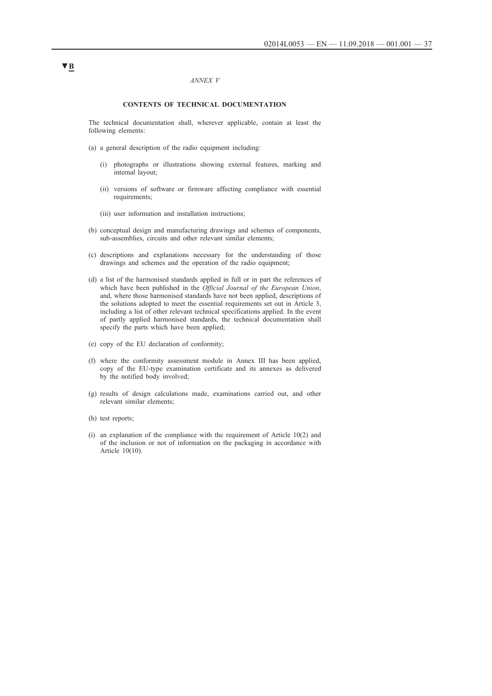#### *ANNEX V*

#### **CONTENTS OF TECHNICAL DOCUMENTATION**

The technical documentation shall, wherever applicable, contain at least the following elements:

- (a) a general description of the radio equipment including:
	- (i) photographs or illustrations showing external features, marking and internal layout;
	- (ii) versions of software or firmware affecting compliance with essential requirements;
	- (iii) user information and installation instructions;
- (b) conceptual design and manufacturing drawings and schemes of components, sub-assemblies, circuits and other relevant similar elements;
- (c) descriptions and explanations necessary for the understanding of those drawings and schemes and the operation of the radio equipment;
- (d) a list of the harmonised standards applied in full or in part the references of which have been published in the *Official Journal of the European Union*, and, where those harmonised standards have not been applied, descriptions of the solutions adopted to meet the essential requirements set out in Article 3, including a list of other relevant technical specifications applied. In the event of partly applied harmonised standards, the technical documentation shall specify the parts which have been applied;
- (e) copy of the EU declaration of conformity;
- (f) where the conformity assessment module in Annex III has been applied, copy of the EU-type examination certificate and its annexes as delivered by the notified body involved;
- (g) results of design calculations made, examinations carried out, and other relevant similar elements;
- (h) test reports;
- (i) an explanation of the compliance with the requirement of Article 10(2) and of the inclusion or not of information on the packaging in accordance with Article 10(10).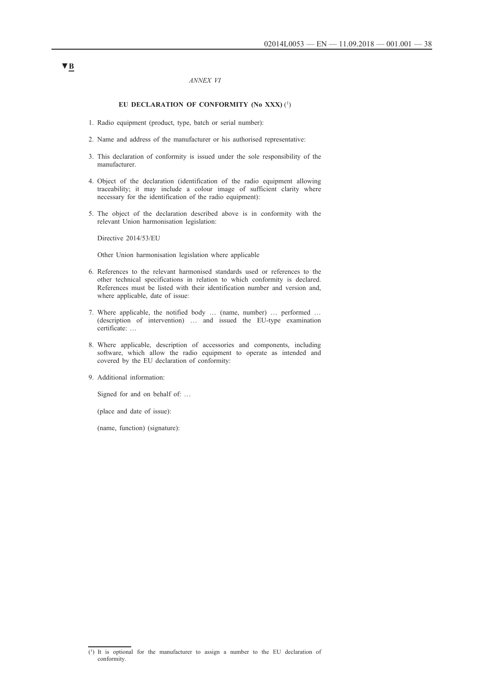#### *ANNEX VI*

### EU DECLARATION OF CONFORMITY (No XXX) <sup>(1</sup>)

- 1. Radio equipment (product, type, batch or serial number):
- 2. Name and address of the manufacturer or his authorised representative:
- 3. This declaration of conformity is issued under the sole responsibility of the manufacturer.
- 4. Object of the declaration (identification of the radio equipment allowing traceability; it may include a colour image of sufficient clarity where necessary for the identification of the radio equipment):
- 5. The object of the declaration described above is in conformity with the relevant Union harmonisation legislation:

Directive 2014/53/EU

Other Union harmonisation legislation where applicable

- 6. References to the relevant harmonised standards used or references to the other technical specifications in relation to which conformity is declared. References must be listed with their identification number and version and, where applicable, date of issue:
- 7. Where applicable, the notified body … (name, number) … performed … (description of intervention) … and issued the EU-type examination certificate: …
- 8. Where applicable, description of accessories and components, including software, which allow the radio equipment to operate as intended and covered by the EU declaration of conformity:
- 9. Additional information:

Signed for and on behalf of: …

(place and date of issue):

(name, function) (signature):

<sup>(1)</sup> It is optional for the manufacturer to assign a number to the EU declaration of conformity.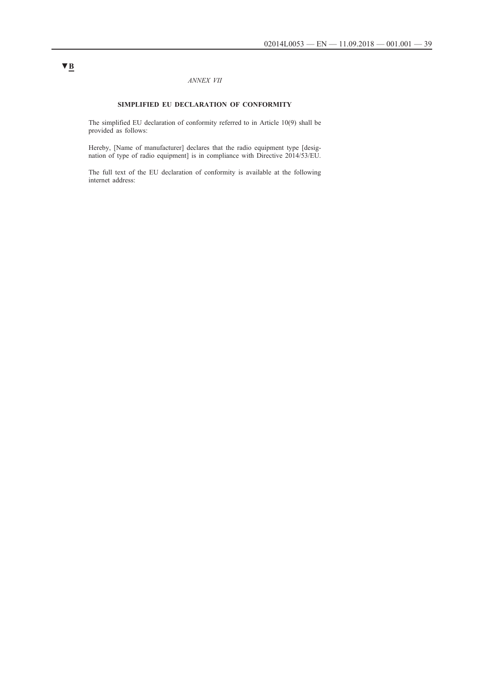### *ANNEX VII*

### **SIMPLIFIED EU DECLARATION OF CONFORMITY**

The simplified EU declaration of conformity referred to in Article 10(9) shall be provided as follows:

Hereby, [Name of manufacturer] declares that the radio equipment type [designation of type of radio equipment] is in compliance with Directive 2014/53/EU.

The full text of the EU declaration of conformity is available at the following internet address: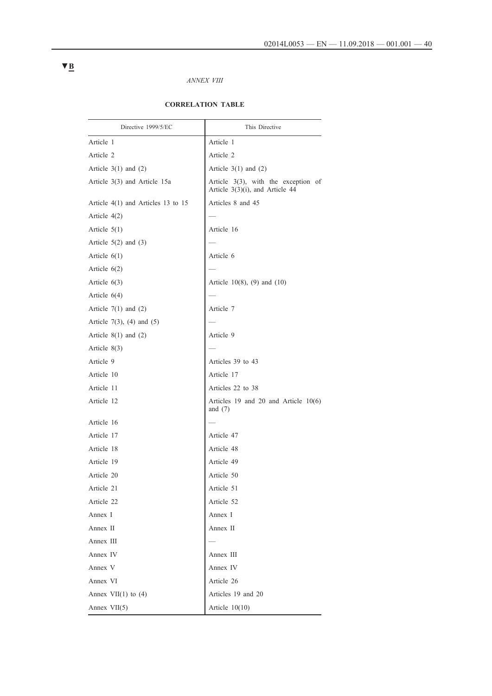## *ANNEX VIII*

## **CORRELATION TABLE**

| Directive 1999/5/EC                  | This Directive                                                            |
|--------------------------------------|---------------------------------------------------------------------------|
| Article 1                            | Article 1                                                                 |
| Article 2                            | Article 2                                                                 |
| Article $3(1)$ and $(2)$             | Article $3(1)$ and $(2)$                                                  |
| Article 3(3) and Article 15a         | Article $3(3)$ , with the exception of<br>Article 3(3)(i), and Article 44 |
| Article $4(1)$ and Articles 13 to 15 | Articles 8 and 45                                                         |
| Article $4(2)$                       |                                                                           |
| Article $5(1)$                       | Article 16                                                                |
| Article $5(2)$ and $(3)$             |                                                                           |
| Article $6(1)$                       | Article 6                                                                 |
| Article $6(2)$                       |                                                                           |
| Article $6(3)$                       | Article $10(8)$ , (9) and (10)                                            |
| Article $6(4)$                       |                                                                           |
| Article $7(1)$ and $(2)$             | Article 7                                                                 |
| Article 7(3), (4) and $(5)$          |                                                                           |
| Article $8(1)$ and $(2)$             | Article 9                                                                 |
| Article $8(3)$                       |                                                                           |
| Article 9                            | Articles 39 to 43                                                         |
| Article 10                           | Article 17                                                                |
| Article 11                           | Articles 22 to 38                                                         |
| Article 12                           | Articles 19 and 20 and Article $10(6)$<br>and $(7)$                       |
| Article 16                           |                                                                           |
| Article 17                           | Article 47                                                                |
| Article 18                           | Article 48                                                                |
| Article 19                           | Article 49                                                                |
| Article 20                           | Article 50                                                                |
| Article 21                           | Article 51                                                                |
| Article 22                           | Article 52                                                                |
| Annex I                              | Annex I                                                                   |
| Annex II                             | Annex II                                                                  |
| Annex III                            |                                                                           |
| Annex IV                             | Annex III                                                                 |
| Annex V                              | Annex IV                                                                  |
| Annex VI                             | Article 26                                                                |
| Annex $VII(1)$ to (4)                | Articles 19 and 20                                                        |
| Annex $VII(5)$                       | Article $10(10)$                                                          |